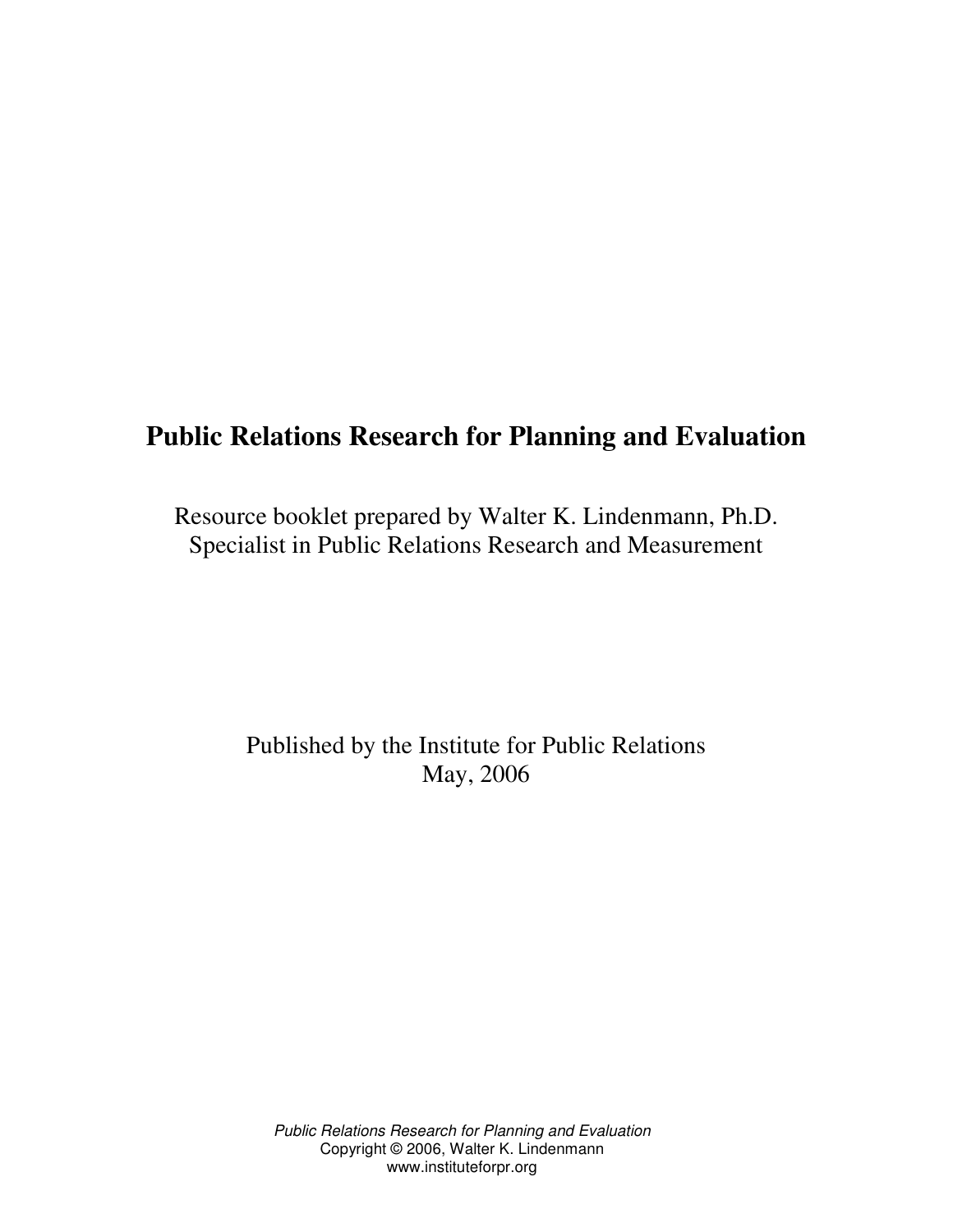# **Public Relations Research for Planning and Evaluation**

Resource booklet prepared by Walter K. Lindenmann, Ph.D. Specialist in Public Relations Research and Measurement

> Published by the Institute for Public Relations May, 2006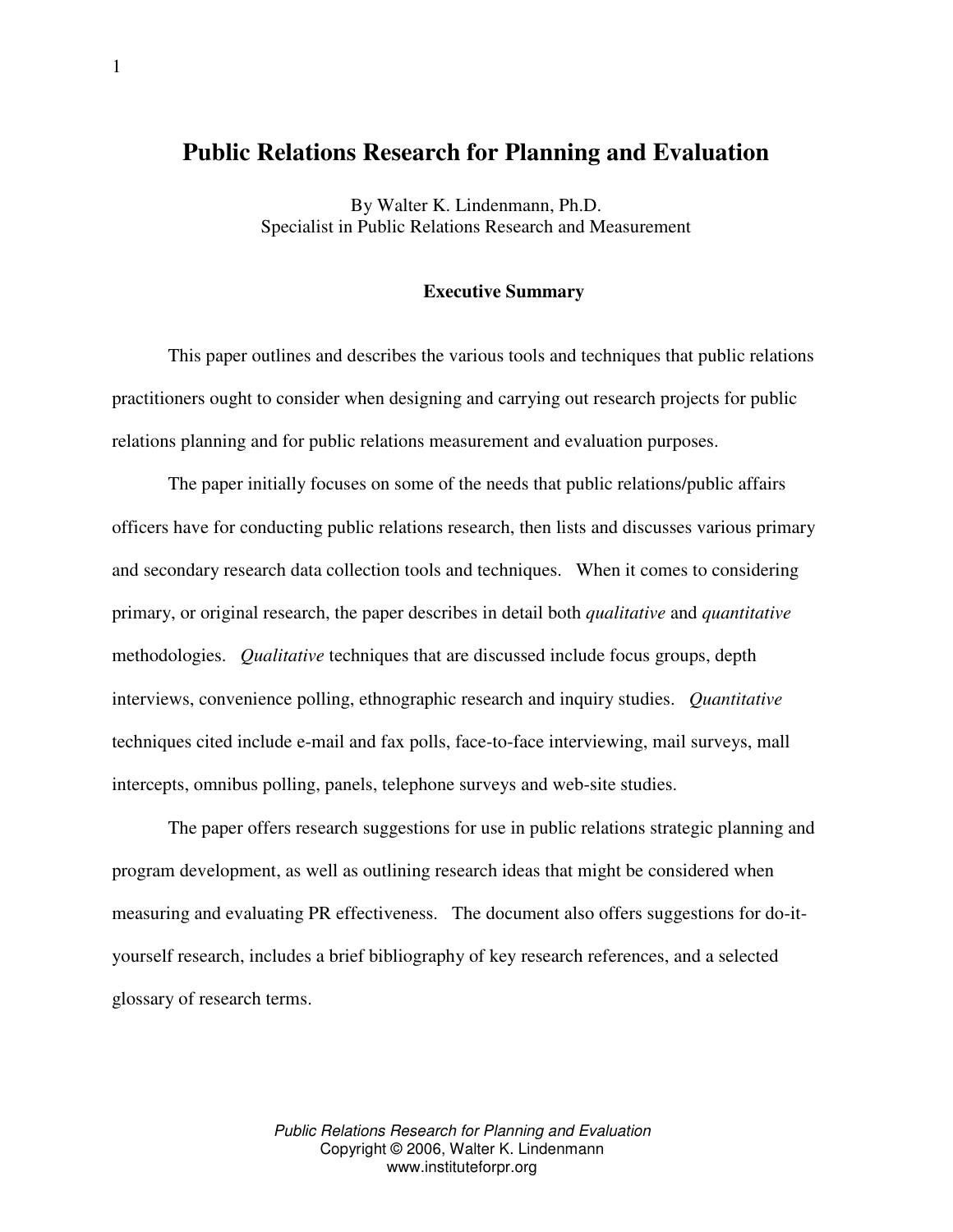# **Public Relations Research for Planning and Evaluation**

By Walter K. Lindenmann, Ph.D. Specialist in Public Relations Research and Measurement

# **Executive Summary**

This paper outlines and describes the various tools and techniques that public relations practitioners ought to consider when designing and carrying out research projects for public relations planning and for public relations measurement and evaluation purposes.

The paper initially focuses on some of the needs that public relations/public affairs officers have for conducting public relations research, then lists and discusses various primary and secondary research data collection tools and techniques. When it comes to considering primary, or original research, the paper describes in detail both *qualitative* and *quantitative* methodologies. *Qualitative* techniques that are discussed include focus groups, depth interviews, convenience polling, ethnographic research and inquiry studies. *Quantitative* techniques cited include e-mail and fax polls, face-to-face interviewing, mail surveys, mall intercepts, omnibus polling, panels, telephone surveys and web-site studies.

The paper offers research suggestions for use in public relations strategic planning and program development, as well as outlining research ideas that might be considered when measuring and evaluating PR effectiveness. The document also offers suggestions for do-ityourself research, includes a brief bibliography of key research references, and a selected glossary of research terms.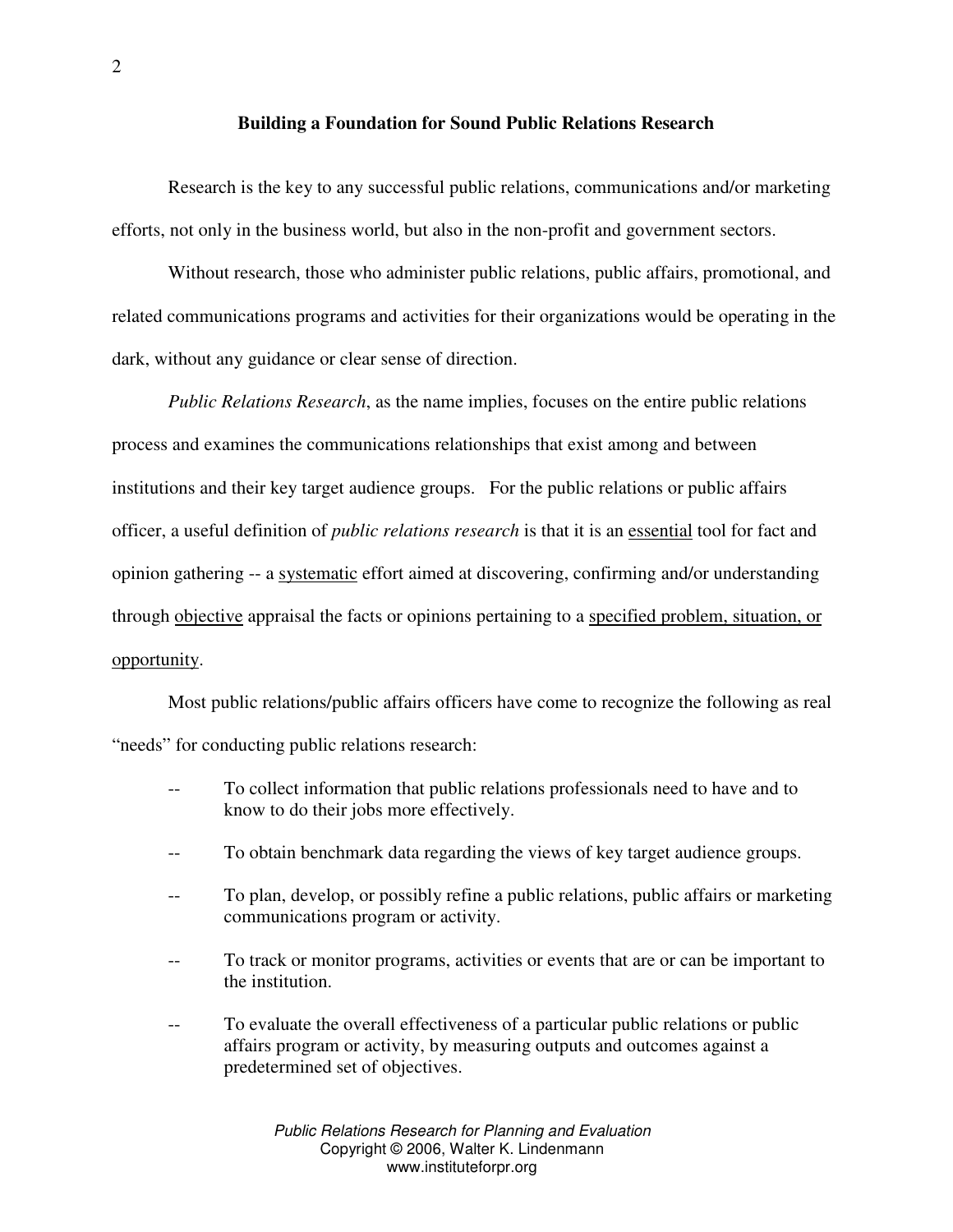#### **Building a Foundation for Sound Public Relations Research**

Research is the key to any successful public relations, communications and/or marketing efforts, not only in the business world, but also in the non-profit and government sectors.

Without research, those who administer public relations, public affairs, promotional, and related communications programs and activities for their organizations would be operating in the dark, without any guidance or clear sense of direction.

*Public Relations Research*, as the name implies, focuses on the entire public relations process and examines the communications relationships that exist among and between institutions and their key target audience groups. For the public relations or public affairs officer, a useful definition of *public relations research* is that it is an essential tool for fact and opinion gathering -- a systematic effort aimed at discovering, confirming and/or understanding through objective appraisal the facts or opinions pertaining to a specified problem, situation, or opportunity.

Most public relations/public affairs officers have come to recognize the following as real "needs" for conducting public relations research:

- To collect information that public relations professionals need to have and to know to do their jobs more effectively.
- To obtain benchmark data regarding the views of key target audience groups.
- To plan, develop, or possibly refine a public relations, public affairs or marketing communications program or activity.
- To track or monitor programs, activities or events that are or can be important to the institution.
- -- To evaluate the overall effectiveness of a particular public relations or public affairs program or activity, by measuring outputs and outcomes against a predetermined set of objectives.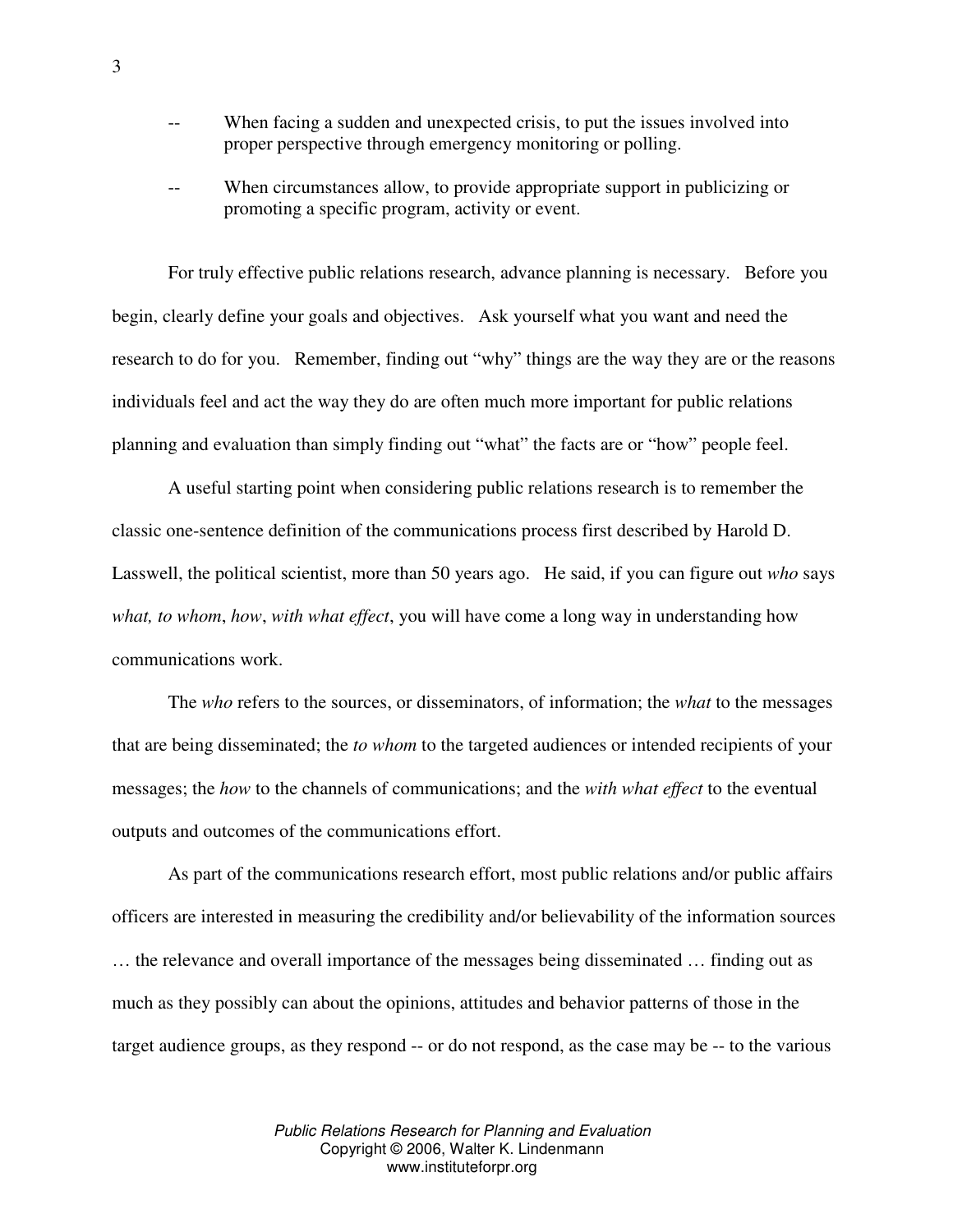- When facing a sudden and unexpected crisis, to put the issues involved into proper perspective through emergency monitoring or polling.
- When circumstances allow, to provide appropriate support in publicizing or promoting a specific program, activity or event.

For truly effective public relations research, advance planning is necessary. Before you begin, clearly define your goals and objectives. Ask yourself what you want and need the research to do for you. Remember, finding out "why" things are the way they are or the reasons individuals feel and act the way they do are often much more important for public relations planning and evaluation than simply finding out "what" the facts are or "how" people feel.

A useful starting point when considering public relations research is to remember the classic one-sentence definition of the communications process first described by Harold D. Lasswell, the political scientist, more than 50 years ago. He said, if you can figure out *who* says *what, to whom*, *how*, *with what effect*, you will have come a long way in understanding how communications work.

The *who* refers to the sources, or disseminators, of information; the *what* to the messages that are being disseminated; the *to whom* to the targeted audiences or intended recipients of your messages; the *how* to the channels of communications; and the *with what effect* to the eventual outputs and outcomes of the communications effort.

As part of the communications research effort, most public relations and/or public affairs officers are interested in measuring the credibility and/or believability of the information sources … the relevance and overall importance of the messages being disseminated … finding out as much as they possibly can about the opinions, attitudes and behavior patterns of those in the target audience groups, as they respond -- or do not respond, as the case may be -- to the various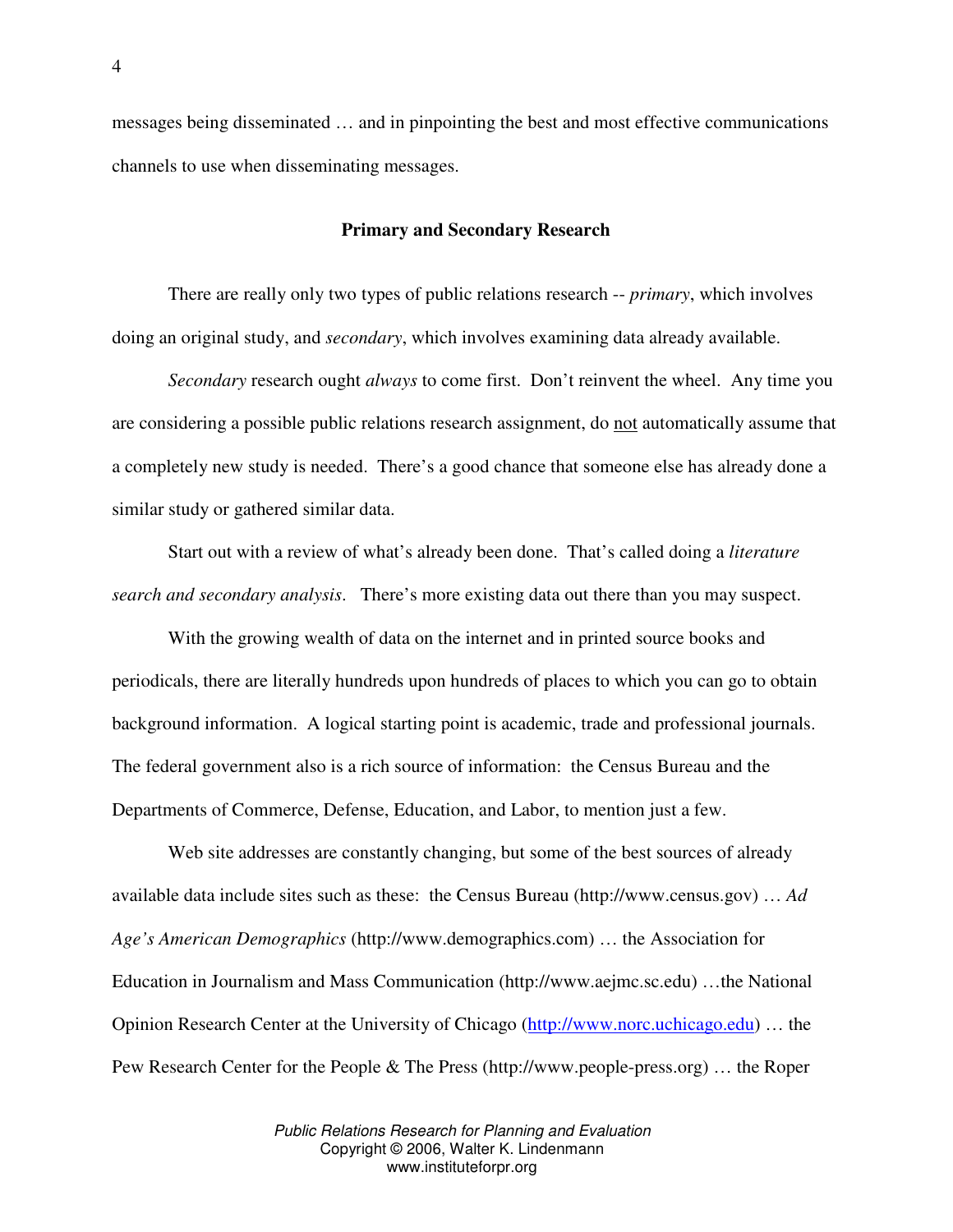messages being disseminated … and in pinpointing the best and most effective communications channels to use when disseminating messages.

#### **Primary and Secondary Research**

There are really only two types of public relations research -- *primary*, which involves doing an original study, and *secondary*, which involves examining data already available.

*Secondary* research ought *always* to come first. Don't reinvent the wheel. Any time you are considering a possible public relations research assignment, do not automatically assume that a completely new study is needed. There's a good chance that someone else has already done a similar study or gathered similar data.

Start out with a review of what's already been done. That's called doing a *literature search and secondary analysis*. There's more existing data out there than you may suspect.

With the growing wealth of data on the internet and in printed source books and periodicals, there are literally hundreds upon hundreds of places to which you can go to obtain background information. A logical starting point is academic, trade and professional journals. The federal government also is a rich source of information: the Census Bureau and the Departments of Commerce, Defense, Education, and Labor, to mention just a few.

Web site addresses are constantly changing, but some of the best sources of already available data include sites such as these: the Census Bureau (http://www.census.gov) … *Ad Age's American Demographics* (http://www.demographics.com) … the Association for Education in Journalism and Mass Communication (http://www.aejmc.sc.edu) …the National Opinion Research Center at the University of Chicago (http://www.norc.uchicago.edu) … the Pew Research Center for the People & The Press (http://www.people-press.org) … the Roper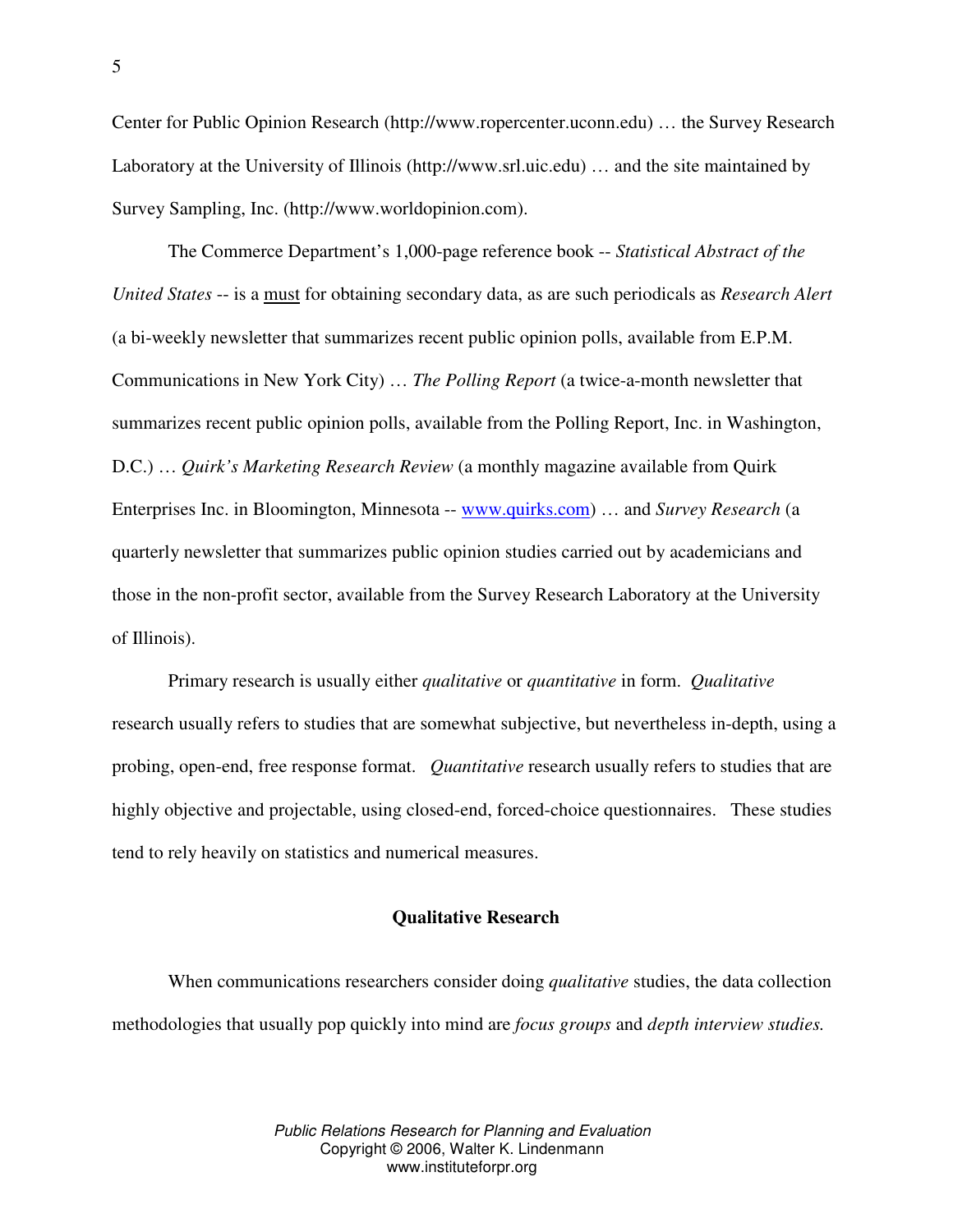Center for Public Opinion Research (http://www.ropercenter.uconn.edu) … the Survey Research Laboratory at the University of Illinois (http://www.srl.uic.edu) … and the site maintained by Survey Sampling, Inc. (http://www.worldopinion.com).

The Commerce Department's 1,000-page reference book -- *Statistical Abstract of the United States* -- is a must for obtaining secondary data, as are such periodicals as *Research Alert* (a bi-weekly newsletter that summarizes recent public opinion polls, available from E.P.M. Communications in New York City) … *The Polling Report* (a twice-a-month newsletter that summarizes recent public opinion polls, available from the Polling Report, Inc. in Washington, D.C.) … *Quirk's Marketing Research Review* (a monthly magazine available from Quirk Enterprises Inc. in Bloomington, Minnesota -- www.quirks.com) … and *Survey Research* (a quarterly newsletter that summarizes public opinion studies carried out by academicians and those in the non-profit sector, available from the Survey Research Laboratory at the University of Illinois).

Primary research is usually either *qualitative* or *quantitative* in form. *Qualitative* research usually refers to studies that are somewhat subjective, but nevertheless in-depth, using a probing, open-end, free response format. *Quantitative* research usually refers to studies that are highly objective and projectable, using closed-end, forced-choice questionnaires. These studies tend to rely heavily on statistics and numerical measures.

#### **Qualitative Research**

When communications researchers consider doing *qualitative* studies, the data collection methodologies that usually pop quickly into mind are *focus groups* and *depth interview studies.*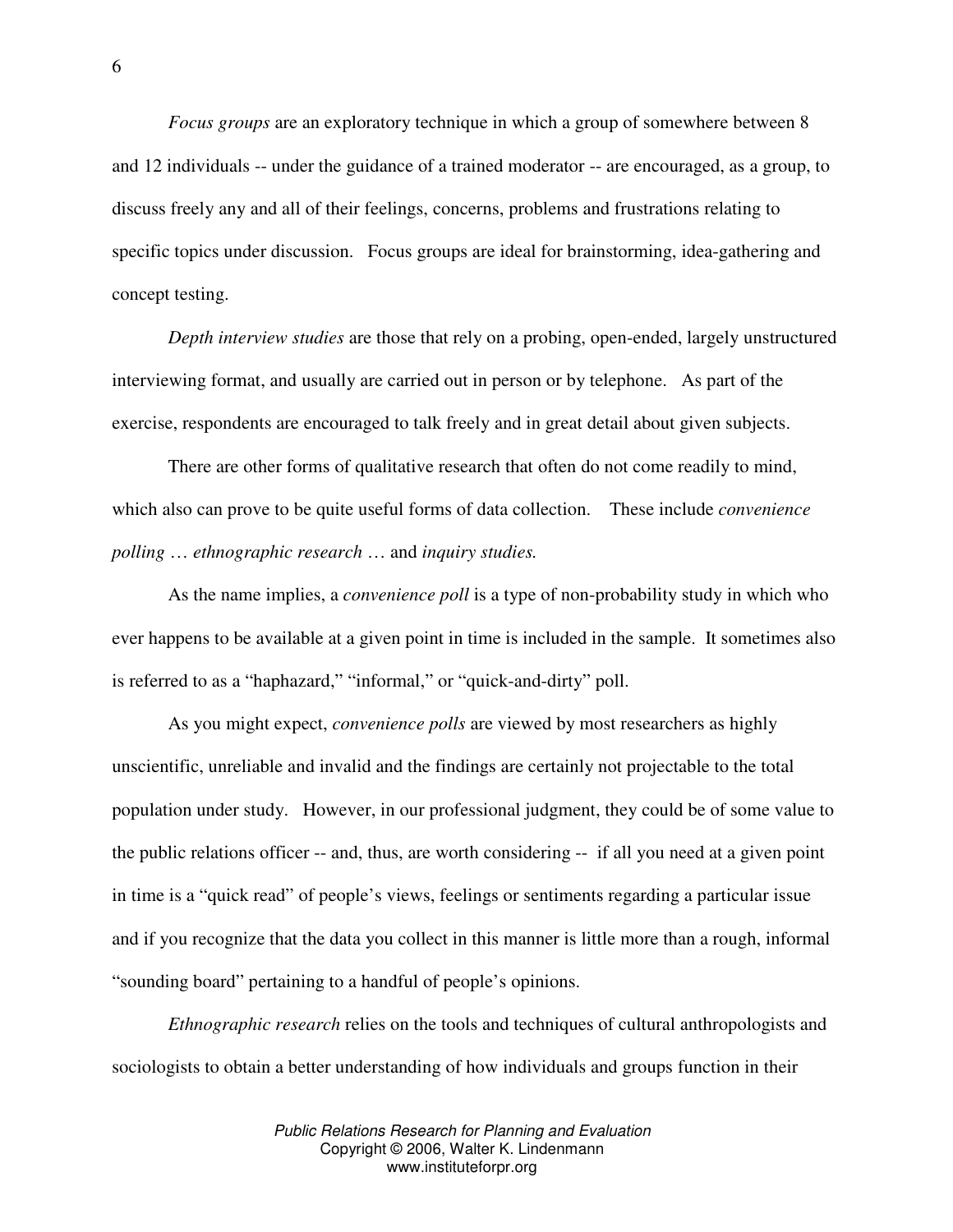*Focus groups* are an exploratory technique in which a group of somewhere between 8 and 12 individuals -- under the guidance of a trained moderator -- are encouraged, as a group, to discuss freely any and all of their feelings, concerns, problems and frustrations relating to specific topics under discussion. Focus groups are ideal for brainstorming, idea-gathering and concept testing.

*Depth interview studies* are those that rely on a probing, open-ended, largely unstructured interviewing format, and usually are carried out in person or by telephone. As part of the exercise, respondents are encouraged to talk freely and in great detail about given subjects.

There are other forms of qualitative research that often do not come readily to mind, which also can prove to be quite useful forms of data collection. These include *convenience polling* … *ethnographic research* … and *inquiry studies.*

As the name implies, a *convenience poll* is a type of non-probability study in which who ever happens to be available at a given point in time is included in the sample. It sometimes also is referred to as a "haphazard," "informal," or "quick-and-dirty" poll.

As you might expect, *convenience polls* are viewed by most researchers as highly unscientific, unreliable and invalid and the findings are certainly not projectable to the total population under study. However, in our professional judgment, they could be of some value to the public relations officer -- and, thus, are worth considering -- if all you need at a given point in time is a "quick read" of people's views, feelings or sentiments regarding a particular issue and if you recognize that the data you collect in this manner is little more than a rough, informal "sounding board" pertaining to a handful of people's opinions.

*Ethnographic research* relies on the tools and techniques of cultural anthropologists and sociologists to obtain a better understanding of how individuals and groups function in their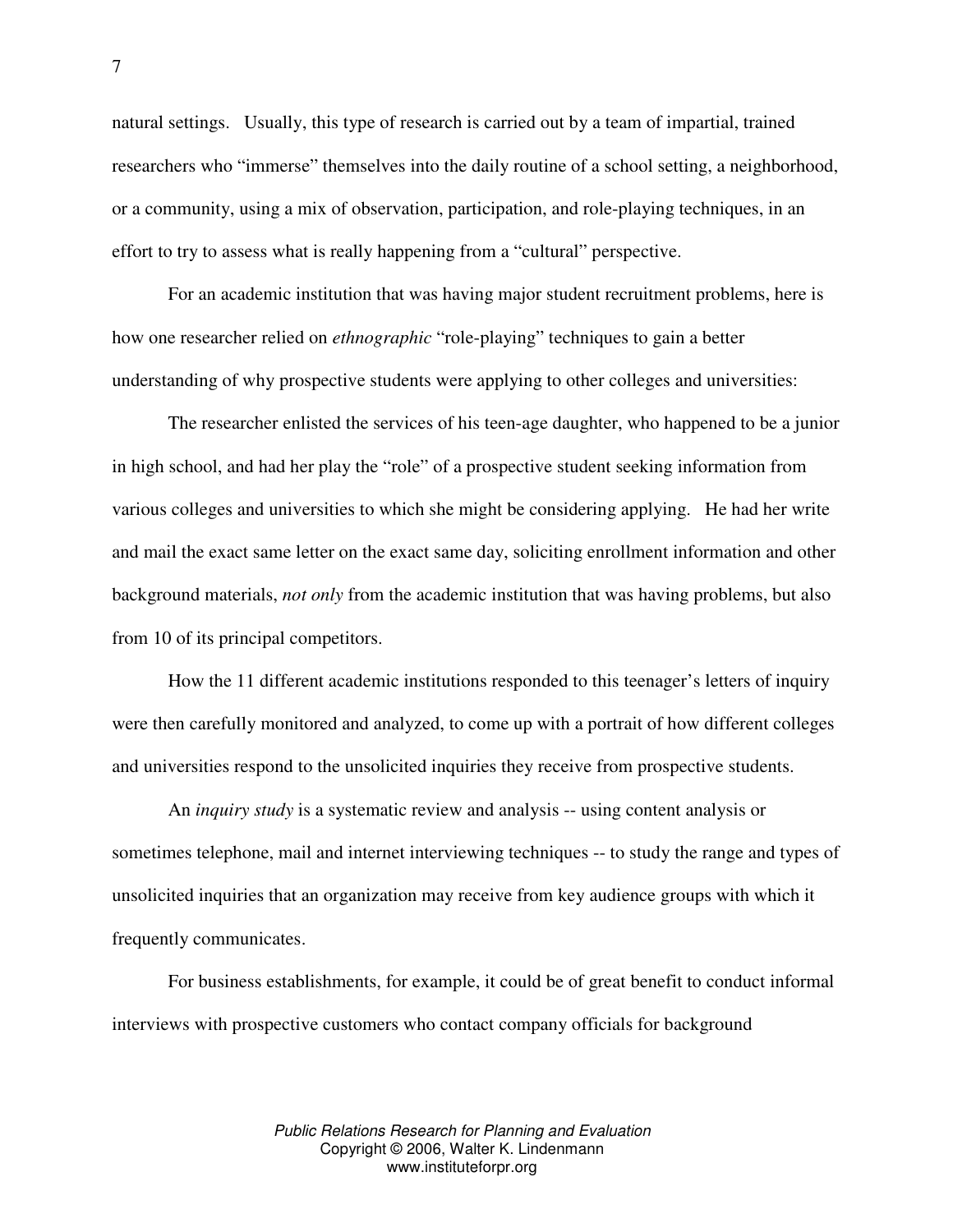natural settings. Usually, this type of research is carried out by a team of impartial, trained researchers who "immerse" themselves into the daily routine of a school setting, a neighborhood, or a community, using a mix of observation, participation, and role-playing techniques, in an effort to try to assess what is really happening from a "cultural" perspective.

For an academic institution that was having major student recruitment problems, here is how one researcher relied on *ethnographic* "role-playing" techniques to gain a better understanding of why prospective students were applying to other colleges and universities:

The researcher enlisted the services of his teen-age daughter, who happened to be a junior in high school, and had her play the "role" of a prospective student seeking information from various colleges and universities to which she might be considering applying. He had her write and mail the exact same letter on the exact same day, soliciting enrollment information and other background materials, *not only* from the academic institution that was having problems, but also from 10 of its principal competitors.

How the 11 different academic institutions responded to this teenager's letters of inquiry were then carefully monitored and analyzed, to come up with a portrait of how different colleges and universities respond to the unsolicited inquiries they receive from prospective students.

An *inquiry study* is a systematic review and analysis -- using content analysis or sometimes telephone, mail and internet interviewing techniques -- to study the range and types of unsolicited inquiries that an organization may receive from key audience groups with which it frequently communicates.

For business establishments, for example, it could be of great benefit to conduct informal interviews with prospective customers who contact company officials for background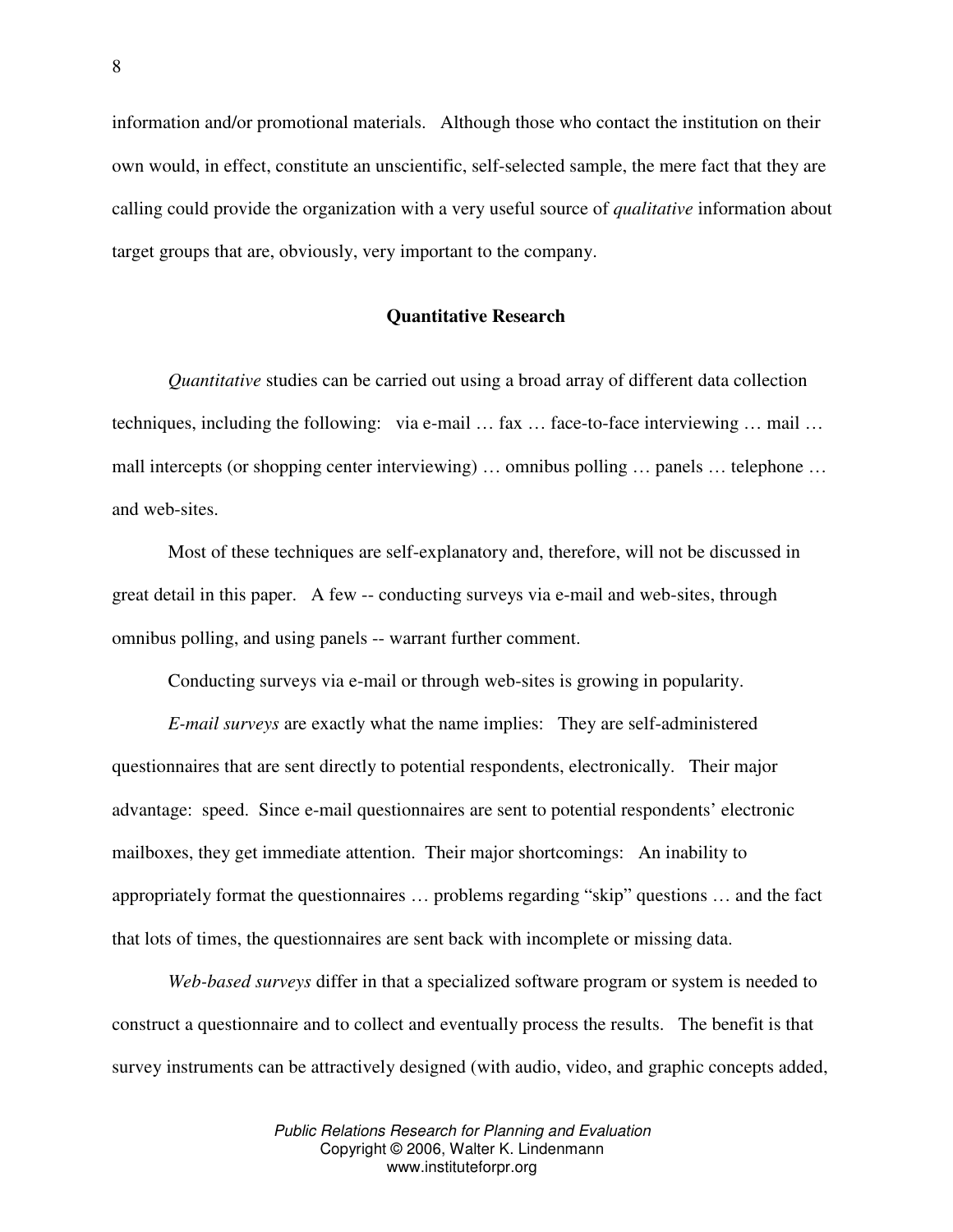information and/or promotional materials. Although those who contact the institution on their own would, in effect, constitute an unscientific, self-selected sample, the mere fact that they are calling could provide the organization with a very useful source of *qualitative* information about target groups that are, obviously, very important to the company.

# **Quantitative Research**

*Quantitative* studies can be carried out using a broad array of different data collection techniques, including the following: via e-mail … fax … face-to-face interviewing … mail … mall intercepts (or shopping center interviewing) … omnibus polling … panels … telephone … and web-sites.

Most of these techniques are self-explanatory and, therefore, will not be discussed in great detail in this paper. A few -- conducting surveys via e-mail and web-sites, through omnibus polling, and using panels -- warrant further comment.

Conducting surveys via e-mail or through web-sites is growing in popularity.

*E-mail surveys* are exactly what the name implies: They are self-administered questionnaires that are sent directly to potential respondents, electronically. Their major advantage: speed. Since e-mail questionnaires are sent to potential respondents' electronic mailboxes, they get immediate attention. Their major shortcomings: An inability to appropriately format the questionnaires … problems regarding "skip" questions … and the fact that lots of times, the questionnaires are sent back with incomplete or missing data.

*Web-based surveys* differ in that a specialized software program or system is needed to construct a questionnaire and to collect and eventually process the results. The benefit is that survey instruments can be attractively designed (with audio, video, and graphic concepts added,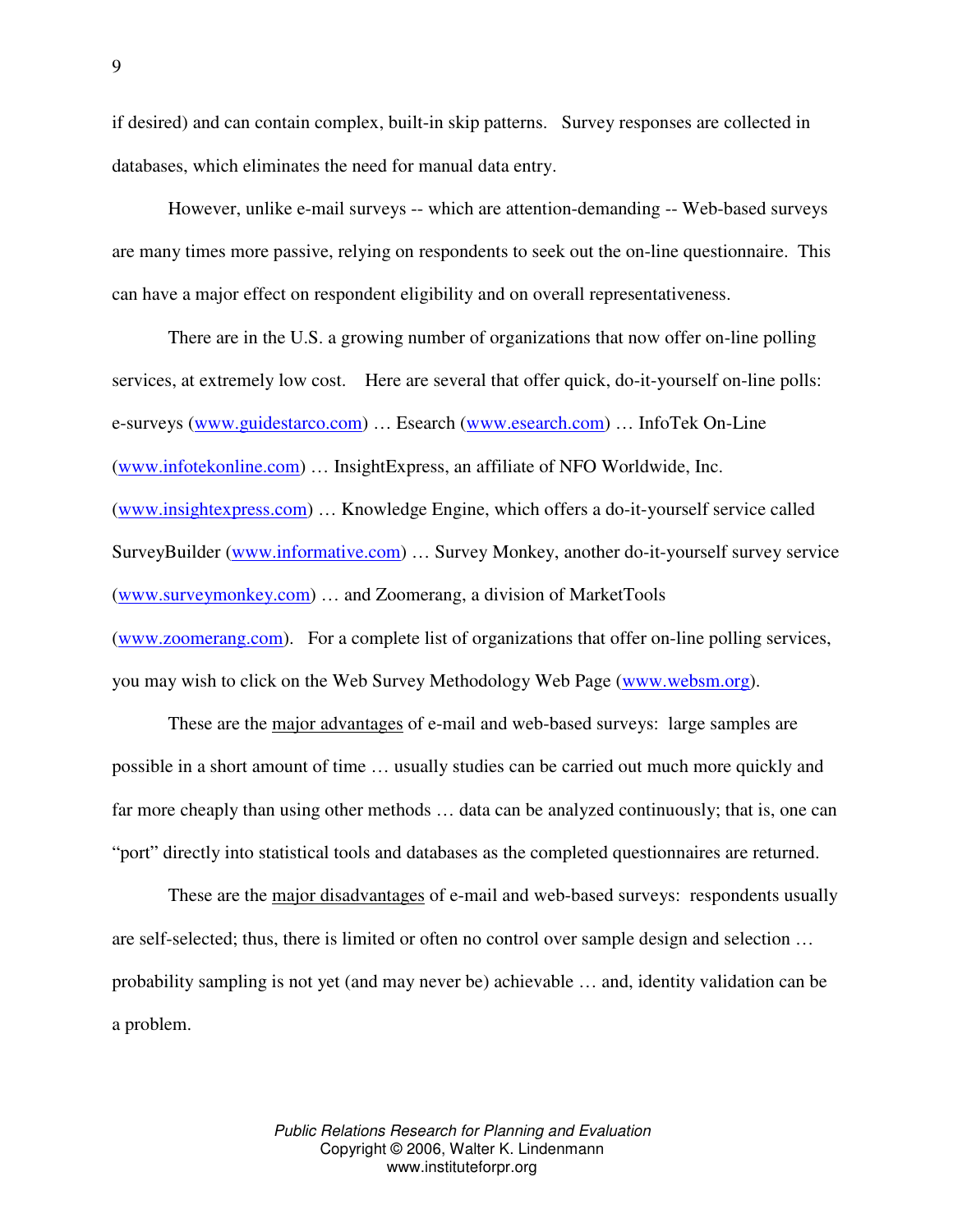if desired) and can contain complex, built-in skip patterns. Survey responses are collected in databases, which eliminates the need for manual data entry.

However, unlike e-mail surveys -- which are attention-demanding -- Web-based surveys are many times more passive, relying on respondents to seek out the on-line questionnaire. This can have a major effect on respondent eligibility and on overall representativeness.

There are in the U.S. a growing number of organizations that now offer on-line polling services, at extremely low cost. Here are several that offer quick, do-it-yourself on-line polls: e-surveys (www.guidestarco.com) … Esearch (www.esearch.com) … InfoTek On-Line (www.infotekonline.com) … InsightExpress, an affiliate of NFO Worldwide, Inc. (www.insightexpress.com) … Knowledge Engine, which offers a do-it-yourself service called SurveyBuilder (www.informative.com) … Survey Monkey, another do-it-yourself survey service (www.surveymonkey.com) … and Zoomerang, a division of MarketTools (www.zoomerang.com). For a complete list of organizations that offer on-line polling services, you may wish to click on the Web Survey Methodology Web Page (www.websm.org).

These are the major advantages of e-mail and web-based surveys: large samples are possible in a short amount of time … usually studies can be carried out much more quickly and far more cheaply than using other methods … data can be analyzed continuously; that is, one can "port" directly into statistical tools and databases as the completed questionnaires are returned.

These are the <u>major disadvantages</u> of e-mail and web-based surveys: respondents usually are self-selected; thus, there is limited or often no control over sample design and selection … probability sampling is not yet (and may never be) achievable … and, identity validation can be a problem.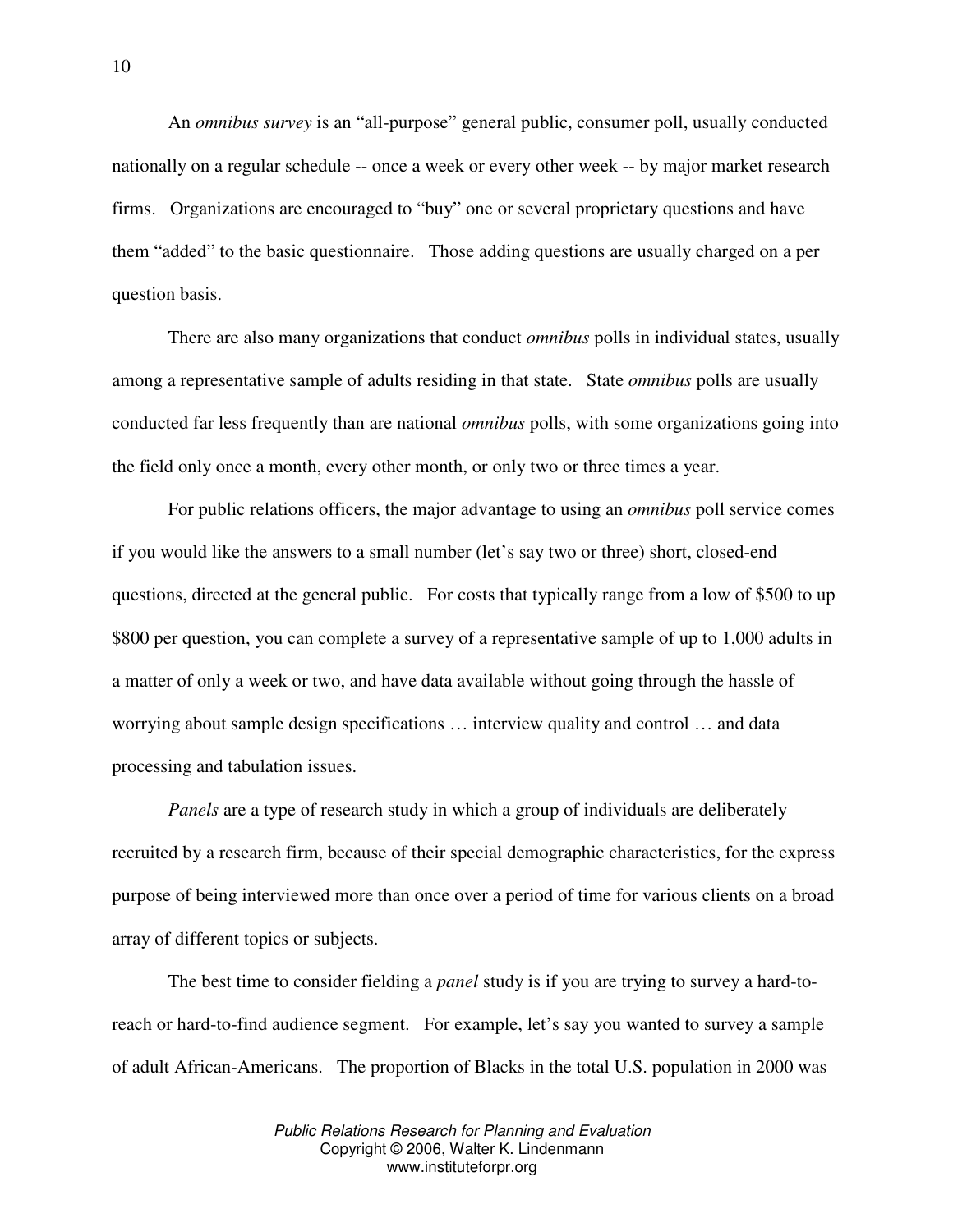An *omnibus survey* is an "all-purpose" general public, consumer poll, usually conducted nationally on a regular schedule -- once a week or every other week -- by major market research firms. Organizations are encouraged to "buy" one or several proprietary questions and have them "added" to the basic questionnaire. Those adding questions are usually charged on a per question basis.

There are also many organizations that conduct *omnibus* polls in individual states, usually among a representative sample of adults residing in that state. State *omnibus* polls are usually conducted far less frequently than are national *omnibus* polls, with some organizations going into the field only once a month, every other month, or only two or three times a year.

For public relations officers, the major advantage to using an *omnibus* poll service comes if you would like the answers to a small number (let's say two or three) short, closed-end questions, directed at the general public. For costs that typically range from a low of \$500 to up \$800 per question, you can complete a survey of a representative sample of up to 1,000 adults in a matter of only a week or two, and have data available without going through the hassle of worrying about sample design specifications … interview quality and control … and data processing and tabulation issues.

*Panels* are a type of research study in which a group of individuals are deliberately recruited by a research firm, because of their special demographic characteristics, for the express purpose of being interviewed more than once over a period of time for various clients on a broad array of different topics or subjects.

The best time to consider fielding a *panel* study is if you are trying to survey a hard-toreach or hard-to-find audience segment. For example, let's say you wanted to survey a sample of adult African-Americans. The proportion of Blacks in the total U.S. population in 2000 was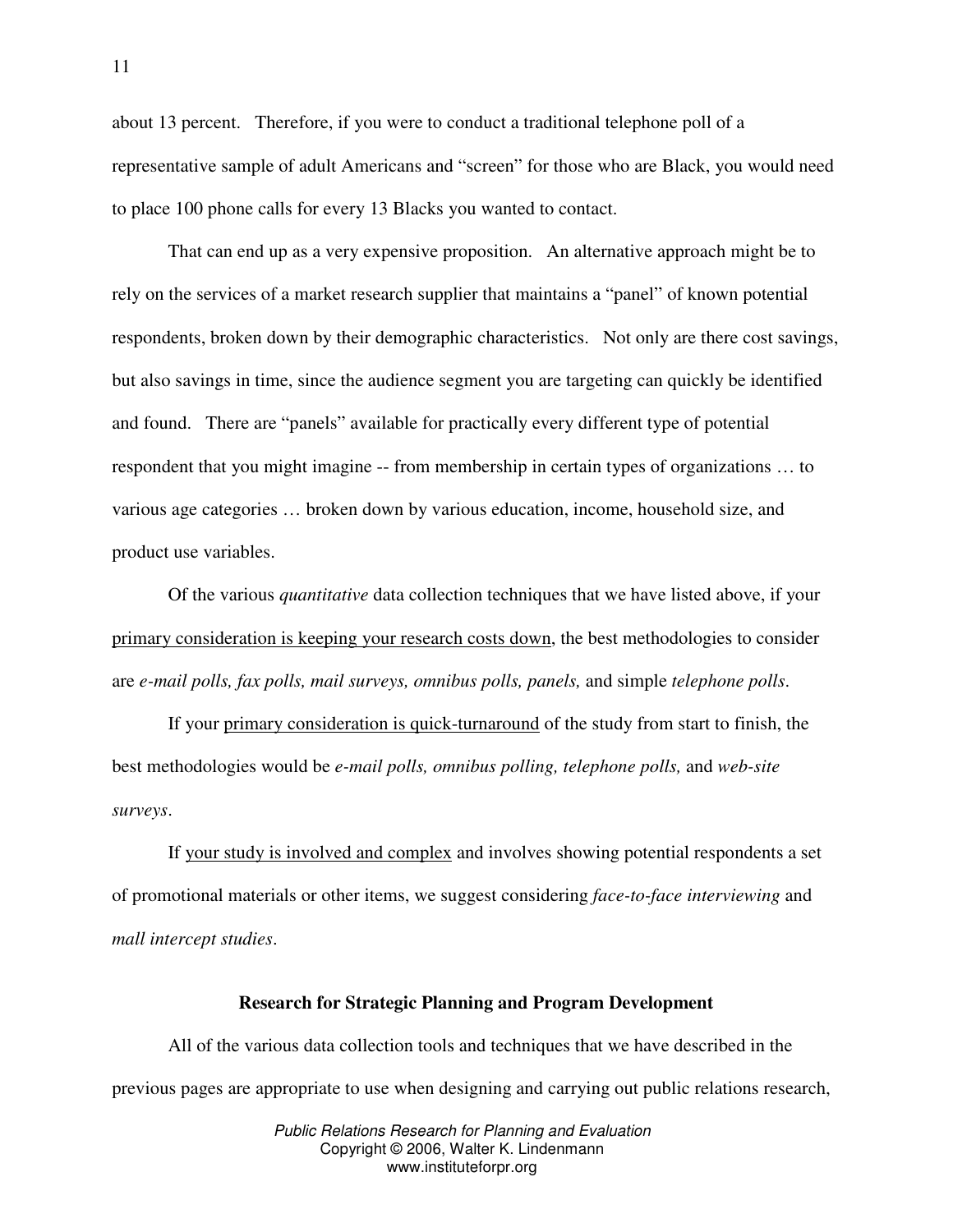about 13 percent. Therefore, if you were to conduct a traditional telephone poll of a representative sample of adult Americans and "screen" for those who are Black, you would need to place 100 phone calls for every 13 Blacks you wanted to contact.

That can end up as a very expensive proposition. An alternative approach might be to rely on the services of a market research supplier that maintains a "panel" of known potential respondents, broken down by their demographic characteristics. Not only are there cost savings, but also savings in time, since the audience segment you are targeting can quickly be identified and found. There are "panels" available for practically every different type of potential respondent that you might imagine -- from membership in certain types of organizations … to various age categories … broken down by various education, income, household size, and product use variables.

Of the various *quantitative* data collection techniques that we have listed above, if your primary consideration is keeping your research costs down, the best methodologies to consider are *e-mail polls, fax polls, mail surveys, omnibus polls, panels,* and simple *telephone polls*.

If your primary consideration is quick-turnaround of the study from start to finish, the best methodologies would be *e-mail polls, omnibus polling, telephone polls,* and *web-site surveys*.

If your study is involved and complex and involves showing potential respondents a set of promotional materials or other items, we suggest considering *face-to-face interviewing* and *mall intercept studies*.

#### **Research for Strategic Planning and Program Development**

All of the various data collection tools and techniques that we have described in the previous pages are appropriate to use when designing and carrying out public relations research,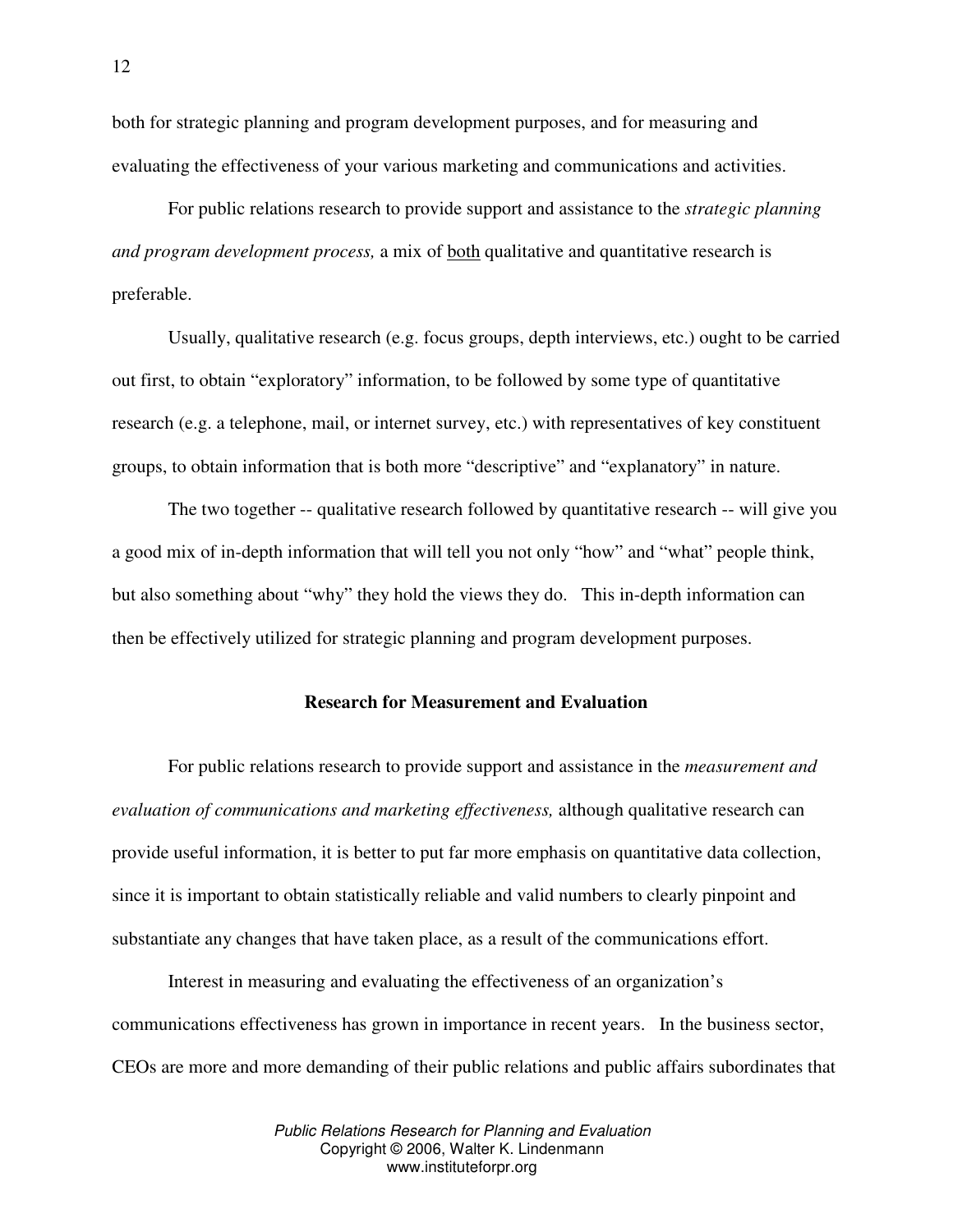both for strategic planning and program development purposes, and for measuring and evaluating the effectiveness of your various marketing and communications and activities.

For public relations research to provide support and assistance to the *strategic planning and program development process,* a mix of both qualitative and quantitative research is preferable.

Usually, qualitative research (e.g. focus groups, depth interviews, etc.) ought to be carried out first, to obtain "exploratory" information, to be followed by some type of quantitative research (e.g. a telephone, mail, or internet survey, etc.) with representatives of key constituent groups, to obtain information that is both more "descriptive" and "explanatory" in nature.

The two together -- qualitative research followed by quantitative research -- will give you a good mix of in-depth information that will tell you not only "how" and "what" people think, but also something about "why" they hold the views they do. This in-depth information can then be effectively utilized for strategic planning and program development purposes.

# **Research for Measurement and Evaluation**

For public relations research to provide support and assistance in the *measurement and evaluation of communications and marketing effectiveness,* although qualitative research can provide useful information, it is better to put far more emphasis on quantitative data collection, since it is important to obtain statistically reliable and valid numbers to clearly pinpoint and substantiate any changes that have taken place, as a result of the communications effort.

Interest in measuring and evaluating the effectiveness of an organization's communications effectiveness has grown in importance in recent years. In the business sector, CEOs are more and more demanding of their public relations and public affairs subordinates that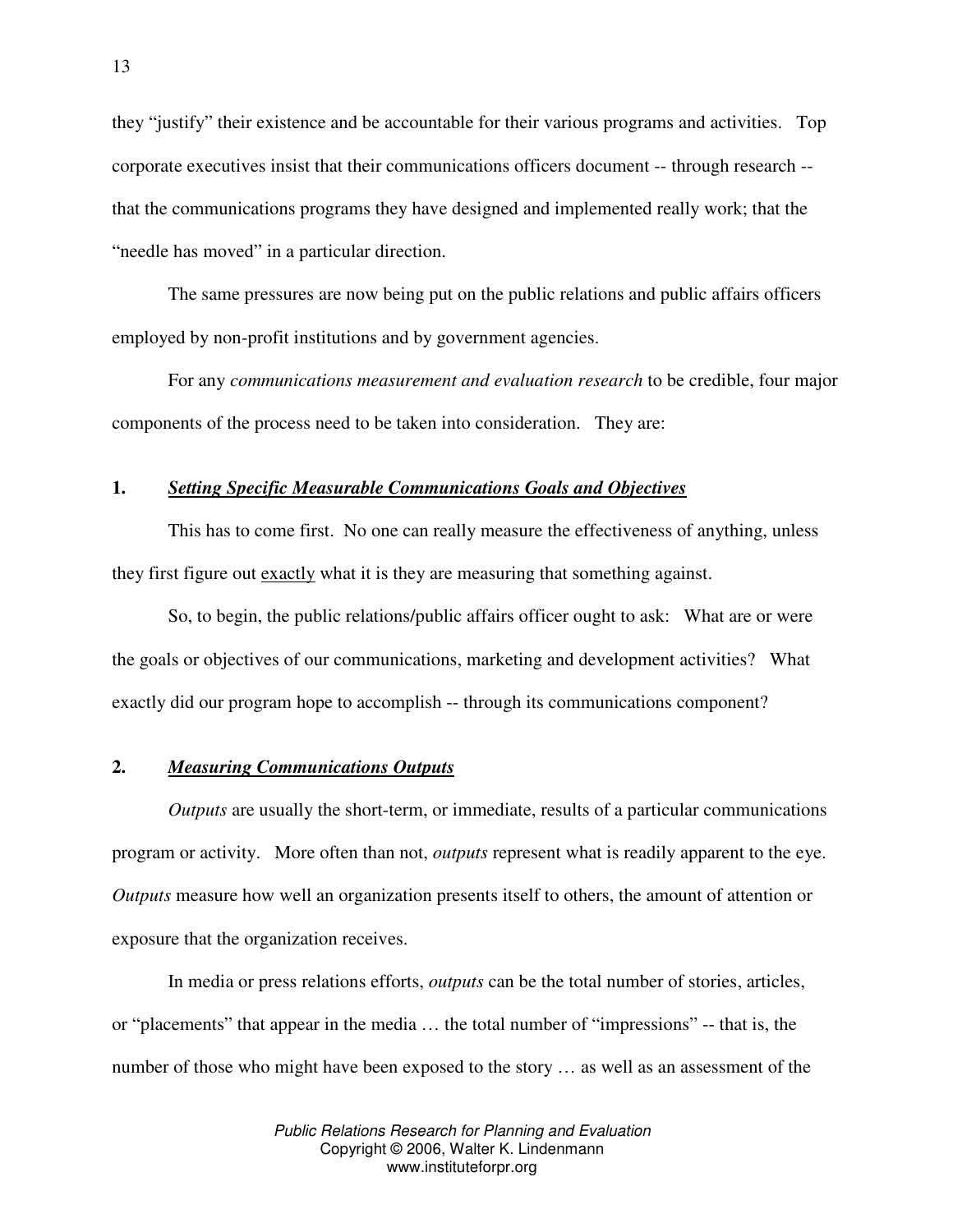they "justify" their existence and be accountable for their various programs and activities. Top corporate executives insist that their communications officers document -- through research - that the communications programs they have designed and implemented really work; that the "needle has moved" in a particular direction.

The same pressures are now being put on the public relations and public affairs officers employed by non-profit institutions and by government agencies.

For any *communications measurement and evaluation research* to be credible, four major components of the process need to be taken into consideration. They are:

# **1.** *Setting Specific Measurable Communications Goals and Objectives*

This has to come first. No one can really measure the effectiveness of anything, unless they first figure out exactly what it is they are measuring that something against.

So, to begin, the public relations/public affairs officer ought to ask: What are or were the goals or objectives of our communications, marketing and development activities? What exactly did our program hope to accomplish -- through its communications component?

#### **2.** *Measuring Communications Outputs*

*Outputs* are usually the short-term, or immediate, results of a particular communications program or activity. More often than not, *outputs* represent what is readily apparent to the eye. *Outputs* measure how well an organization presents itself to others, the amount of attention or exposure that the organization receives.

In media or press relations efforts, *outputs* can be the total number of stories, articles, or "placements" that appear in the media … the total number of "impressions" -- that is, the number of those who might have been exposed to the story … as well as an assessment of the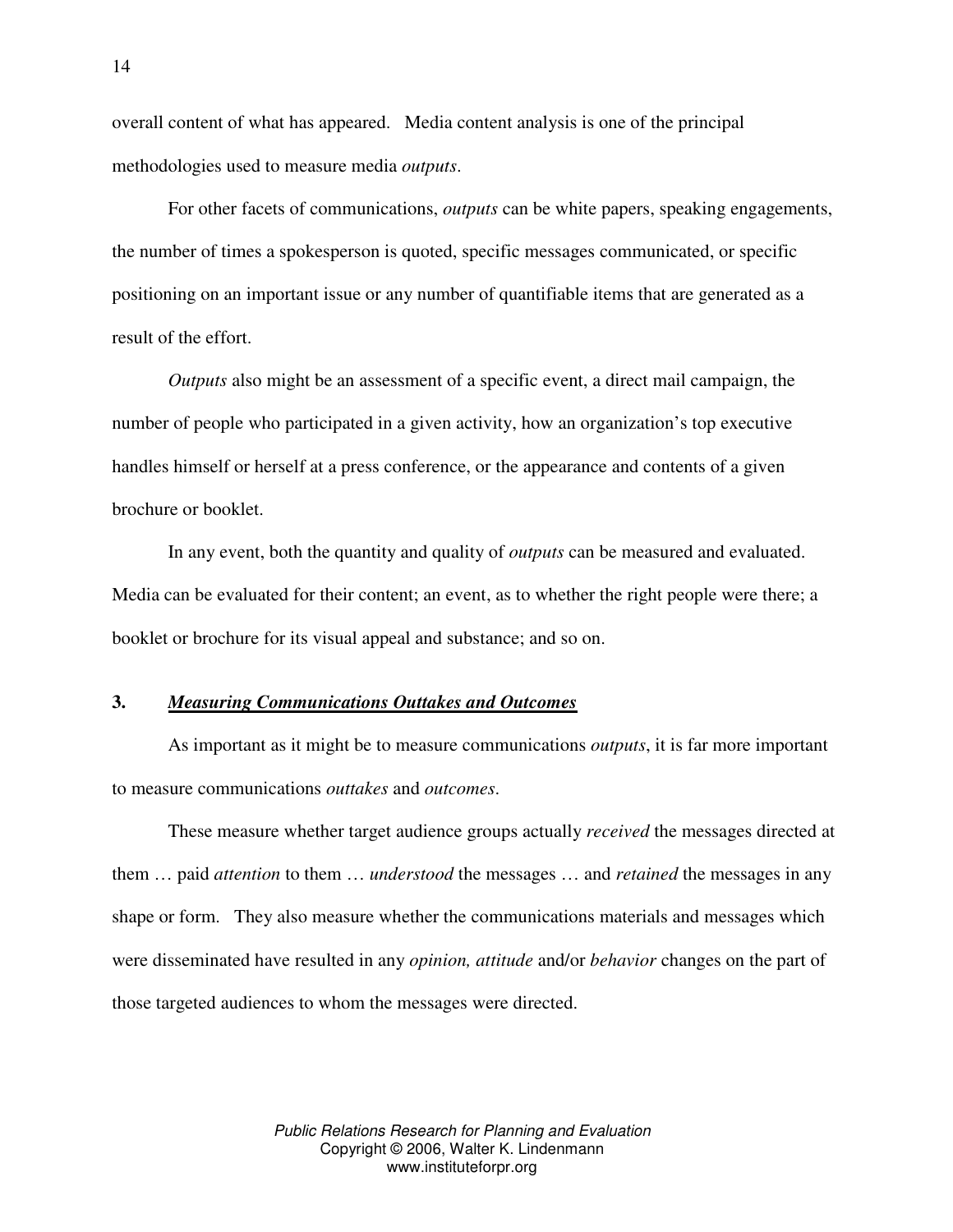overall content of what has appeared. Media content analysis is one of the principal methodologies used to measure media *outputs*.

For other facets of communications, *outputs* can be white papers, speaking engagements, the number of times a spokesperson is quoted, specific messages communicated, or specific positioning on an important issue or any number of quantifiable items that are generated as a result of the effort.

*Outputs* also might be an assessment of a specific event, a direct mail campaign, the number of people who participated in a given activity, how an organization's top executive handles himself or herself at a press conference, or the appearance and contents of a given brochure or booklet.

In any event, both the quantity and quality of *outputs* can be measured and evaluated. Media can be evaluated for their content; an event, as to whether the right people were there; a booklet or brochure for its visual appeal and substance; and so on.

# **3.** *Measuring Communications Outtakes and Outcomes*

As important as it might be to measure communications *outputs*, it is far more important to measure communications *outtakes* and *outcomes*.

These measure whether target audience groups actually *received* the messages directed at them … paid *attention* to them … *understood* the messages … and *retained* the messages in any shape or form. They also measure whether the communications materials and messages which were disseminated have resulted in any *opinion, attitude* and/or *behavior* changes on the part of those targeted audiences to whom the messages were directed.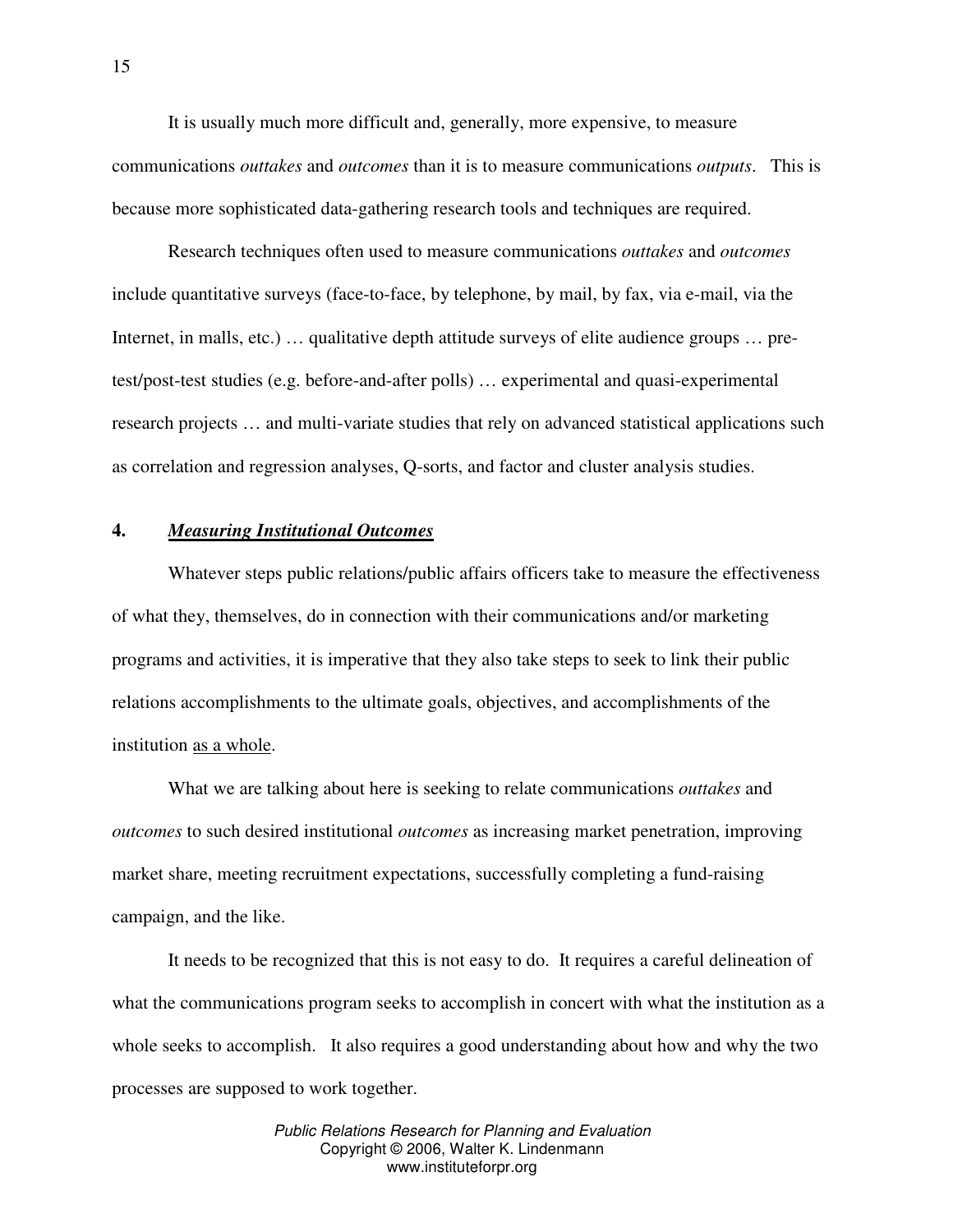It is usually much more difficult and, generally, more expensive, to measure communications *outtakes* and *outcomes* than it is to measure communications *outputs*. This is because more sophisticated data-gathering research tools and techniques are required.

Research techniques often used to measure communications *outtakes* and *outcomes* include quantitative surveys (face-to-face, by telephone, by mail, by fax, via e-mail, via the Internet, in malls, etc.) … qualitative depth attitude surveys of elite audience groups … pretest/post-test studies (e.g. before-and-after polls) … experimental and quasi-experimental research projects … and multi-variate studies that rely on advanced statistical applications such as correlation and regression analyses, Q-sorts, and factor and cluster analysis studies.

# **4.** *Measuring Institutional Outcomes*

Whatever steps public relations/public affairs officers take to measure the effectiveness of what they, themselves, do in connection with their communications and/or marketing programs and activities, it is imperative that they also take steps to seek to link their public relations accomplishments to the ultimate goals, objectives, and accomplishments of the institution as a whole.

What we are talking about here is seeking to relate communications *outtakes* and *outcomes* to such desired institutional *outcomes* as increasing market penetration, improving market share, meeting recruitment expectations, successfully completing a fund-raising campaign, and the like.

It needs to be recognized that this is not easy to do. It requires a careful delineation of what the communications program seeks to accomplish in concert with what the institution as a whole seeks to accomplish. It also requires a good understanding about how and why the two processes are supposed to work together.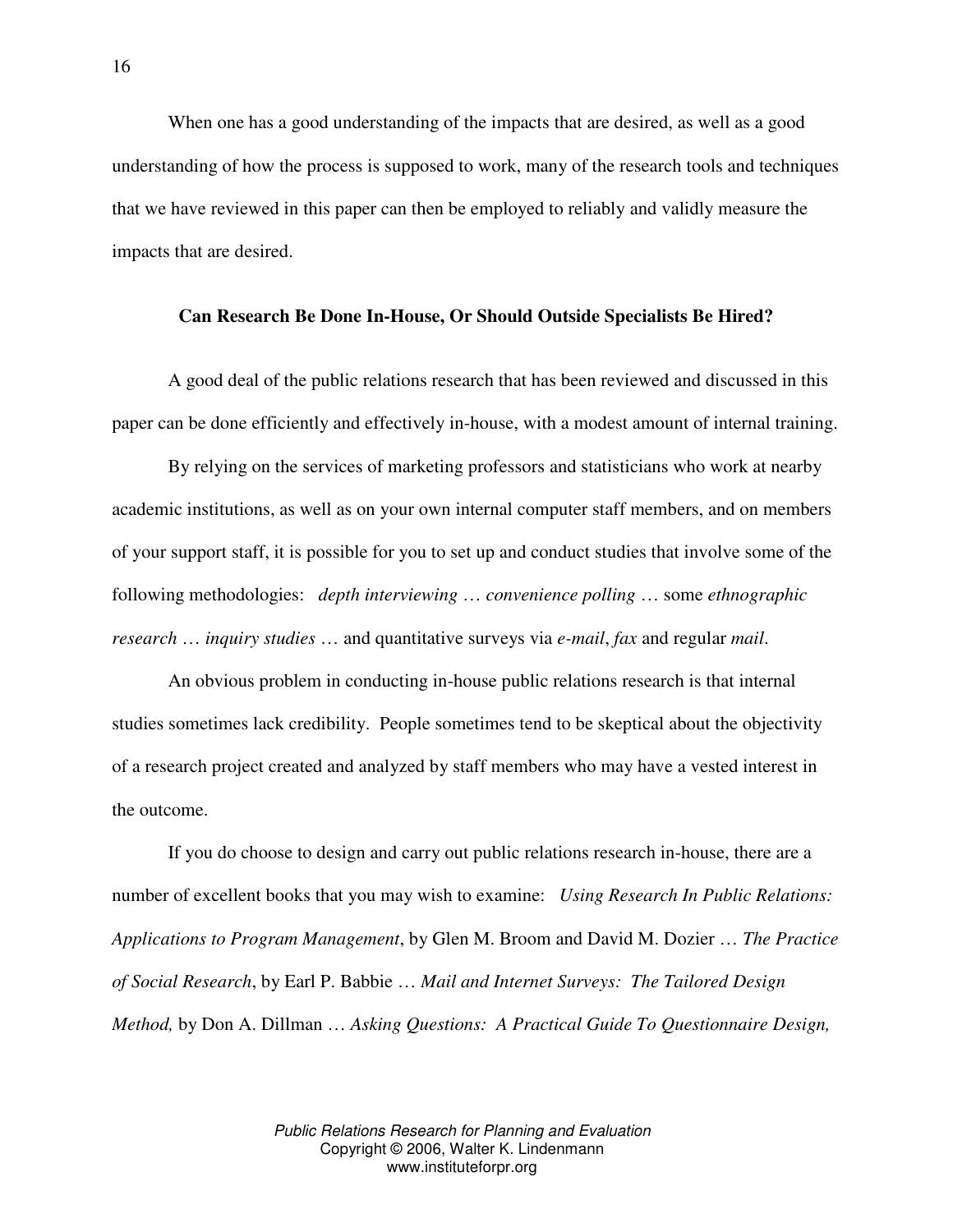When one has a good understanding of the impacts that are desired, as well as a good understanding of how the process is supposed to work, many of the research tools and techniques that we have reviewed in this paper can then be employed to reliably and validly measure the impacts that are desired.

#### **Can Research Be Done In-House, Or Should Outside Specialists Be Hired?**

A good deal of the public relations research that has been reviewed and discussed in this paper can be done efficiently and effectively in-house, with a modest amount of internal training.

By relying on the services of marketing professors and statisticians who work at nearby academic institutions, as well as on your own internal computer staff members, and on members of your support staff, it is possible for you to set up and conduct studies that involve some of the following methodologies: *depth interviewing* … *convenience polling* … some *ethnographic research* … *inquiry studies* … and quantitative surveys via *e-mail*, *fax* and regular *mail*.

An obvious problem in conducting in-house public relations research is that internal studies sometimes lack credibility. People sometimes tend to be skeptical about the objectivity of a research project created and analyzed by staff members who may have a vested interest in the outcome.

If you do choose to design and carry out public relations research in-house, there are a number of excellent books that you may wish to examine: *Using Research In Public Relations: Applications to Program Management*, by Glen M. Broom and David M. Dozier … *The Practice of Social Research*, by Earl P. Babbie … *Mail and Internet Surveys: The Tailored Design Method,* by Don A. Dillman … *Asking Questions: A Practical Guide To Questionnaire Design,*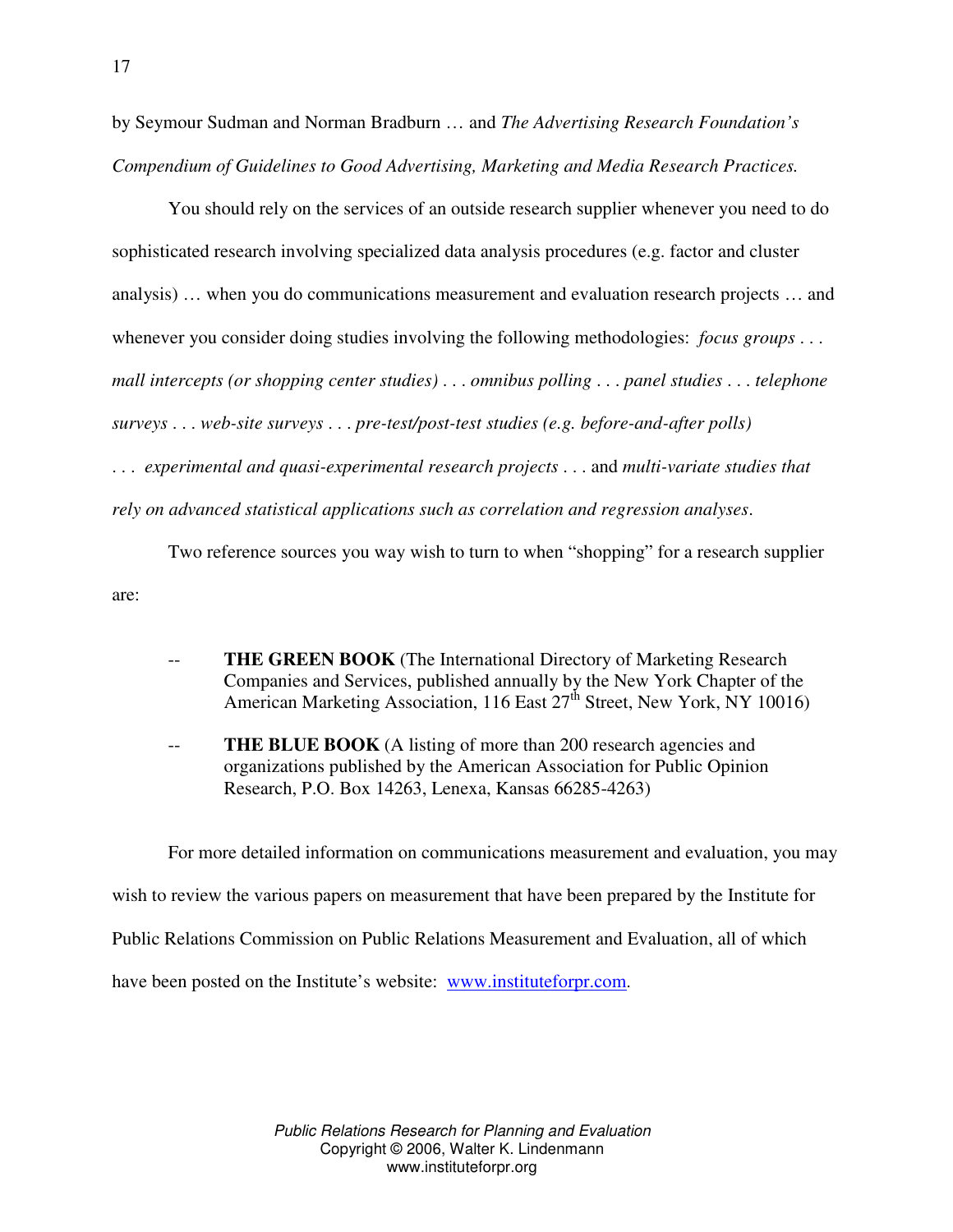by Seymour Sudman and Norman Bradburn … and *The Advertising Research Foundation's Compendium of Guidelines to Good Advertising, Marketing and Media Research Practices.*

You should rely on the services of an outside research supplier whenever you need to do sophisticated research involving specialized data analysis procedures (e.g. factor and cluster analysis) … when you do communications measurement and evaluation research projects … and whenever you consider doing studies involving the following methodologies: *focus groups* . . . *mall intercepts (or shopping center studies)* . . . *omnibus polling* . . . *panel studies* . . . *telephone surveys* . . . *web-site surveys* . . . *pre-test/post-test studies (e.g. before-and-after polls)* . . . *experimental and quasi-experimental research projects* . . . and *multi-variate studies that rely on advanced statistical applications such as correlation and regression analyses*.

Two reference sources you way wish to turn to when "shopping" for a research supplier are:

- **THE GREEN BOOK** (The International Directory of Marketing Research Companies and Services, published annually by the New York Chapter of the American Marketing Association, 116 East 27<sup>th</sup> Street, New York, NY 10016)
- **THE BLUE BOOK** (A listing of more than 200 research agencies and organizations published by the American Association for Public Opinion Research, P.O. Box 14263, Lenexa, Kansas 66285-4263)

For more detailed information on communications measurement and evaluation, you may wish to review the various papers on measurement that have been prepared by the Institute for Public Relations Commission on Public Relations Measurement and Evaluation, all of which have been posted on the Institute's website: www.instituteforpr.com.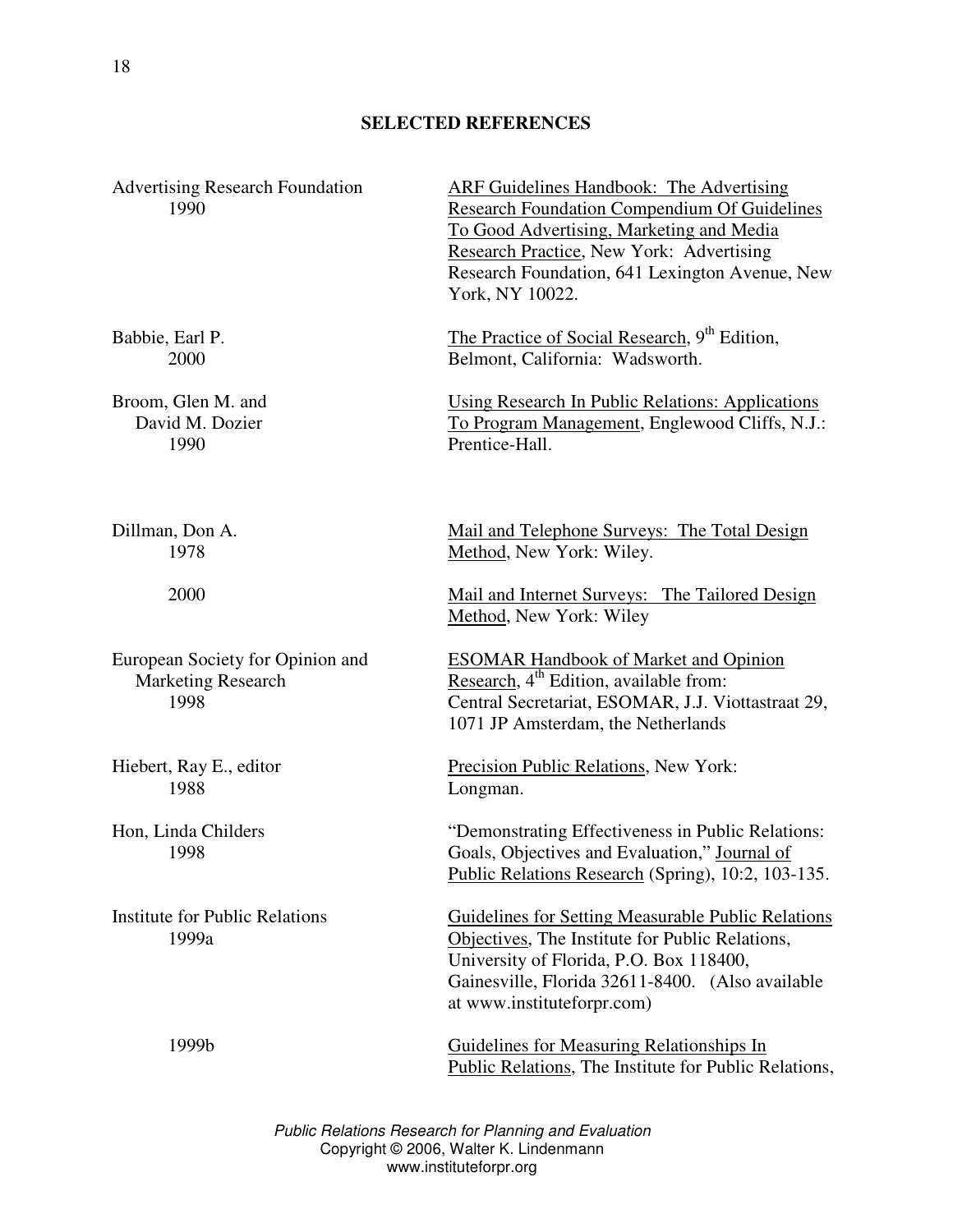# **SELECTED REFERENCES**

| <b>Advertising Research Foundation</b><br>1990                        | ARF Guidelines Handbook: The Advertising<br><b>Research Foundation Compendium Of Guidelines</b><br>To Good Advertising, Marketing and Media<br>Research Practice, New York: Advertising<br>Research Foundation, 641 Lexington Avenue, New<br>York, NY 10022. |
|-----------------------------------------------------------------------|--------------------------------------------------------------------------------------------------------------------------------------------------------------------------------------------------------------------------------------------------------------|
| Babbie, Earl P.<br>2000                                               | The Practice of Social Research, 9 <sup>th</sup> Edition,<br>Belmont, California: Wadsworth.                                                                                                                                                                 |
| Broom, Glen M. and<br>David M. Dozier<br>1990                         | <b>Using Research In Public Relations: Applications</b><br>To Program Management, Englewood Cliffs, N.J.:<br>Prentice-Hall.                                                                                                                                  |
| Dillman, Don A.<br>1978                                               | <u>Mail and Telephone Surveys: The Total Design</u><br>Method, New York: Wiley.                                                                                                                                                                              |
| 2000                                                                  | Mail and Internet Surveys: The Tailored Design<br>Method, New York: Wiley                                                                                                                                                                                    |
| European Society for Opinion and<br><b>Marketing Research</b><br>1998 | <b>ESOMAR Handbook of Market and Opinion</b><br>Research, 4 <sup>th</sup> Edition, available from:<br>Central Secretariat, ESOMAR, J.J. Viottastraat 29,<br>1071 JP Amsterdam, the Netherlands                                                               |
| Hiebert, Ray E., editor<br>1988                                       | Precision Public Relations, New York:<br>Longman.                                                                                                                                                                                                            |
| Hon, Linda Childers<br>1998                                           | "Demonstrating Effectiveness in Public Relations:<br>Goals, Objectives and Evaluation," Journal of<br>Public Relations Research (Spring), 10:2, 103-135.                                                                                                     |
| <b>Institute for Public Relations</b><br>1999a                        | Guidelines for Setting Measurable Public Relations<br>Objectives, The Institute for Public Relations,<br>University of Florida, P.O. Box 118400,<br>Gainesville, Florida 32611-8400. (Also available<br>at www.instituteforpr.com)                           |
| 1999b                                                                 | <b>Guidelines for Measuring Relationships In</b><br>Public Relations, The Institute for Public Relations,                                                                                                                                                    |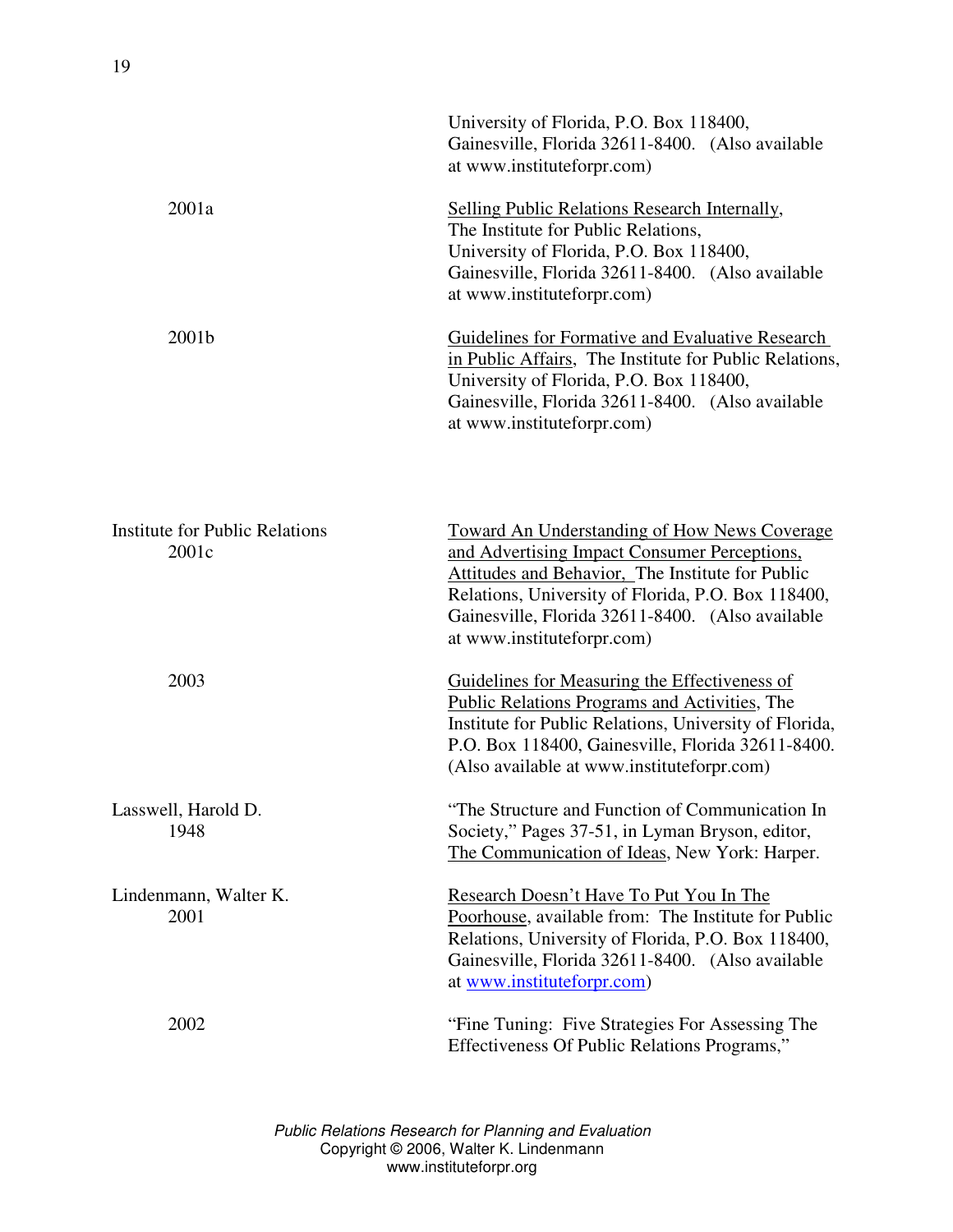|                                                | University of Florida, P.O. Box 118400,<br>Gainesville, Florida 32611-8400. (Also available<br>at www.instituteforpr.com)                                                                                                                                                                       |
|------------------------------------------------|-------------------------------------------------------------------------------------------------------------------------------------------------------------------------------------------------------------------------------------------------------------------------------------------------|
| 2001a                                          | <b>Selling Public Relations Research Internally,</b><br>The Institute for Public Relations,<br>University of Florida, P.O. Box 118400,<br>Gainesville, Florida 32611-8400. (Also available<br>at www.instituteforpr.com)                                                                        |
| 2001b                                          | Guidelines for Formative and Evaluative Research<br>in Public Affairs, The Institute for Public Relations,<br>University of Florida, P.O. Box 118400,<br>Gainesville, Florida 32611-8400. (Also available<br>at www.instituteforpr.com)                                                         |
| <b>Institute for Public Relations</b><br>2001c | <b>Toward An Understanding of How News Coverage</b><br>and Advertising Impact Consumer Perceptions,<br>Attitudes and Behavior, The Institute for Public<br>Relations, University of Florida, P.O. Box 118400,<br>Gainesville, Florida 32611-8400. (Also available<br>at www.instituteforpr.com) |
| 2003                                           | Guidelines for Measuring the Effectiveness of<br>Public Relations Programs and Activities, The<br>Institute for Public Relations, University of Florida,<br>P.O. Box 118400, Gainesville, Florida 32611-8400.<br>(Also available at www.instituteforpr.com)                                     |
| Lasswell, Harold D.<br>1948                    | "The Structure and Function of Communication In<br>Society," Pages 37-51, in Lyman Bryson, editor,<br>The Communication of Ideas, New York: Harper.                                                                                                                                             |
| Lindenmann, Walter K.<br>2001                  | Research Doesn't Have To Put You In The<br>Poorhouse, available from: The Institute for Public<br>Relations, University of Florida, P.O. Box 118400,<br>Gainesville, Florida 32611-8400. (Also available<br>at www.instituteforpr.com)                                                          |
| 2002                                           | "Fine Tuning: Five Strategies For Assessing The<br>Effectiveness Of Public Relations Programs,"                                                                                                                                                                                                 |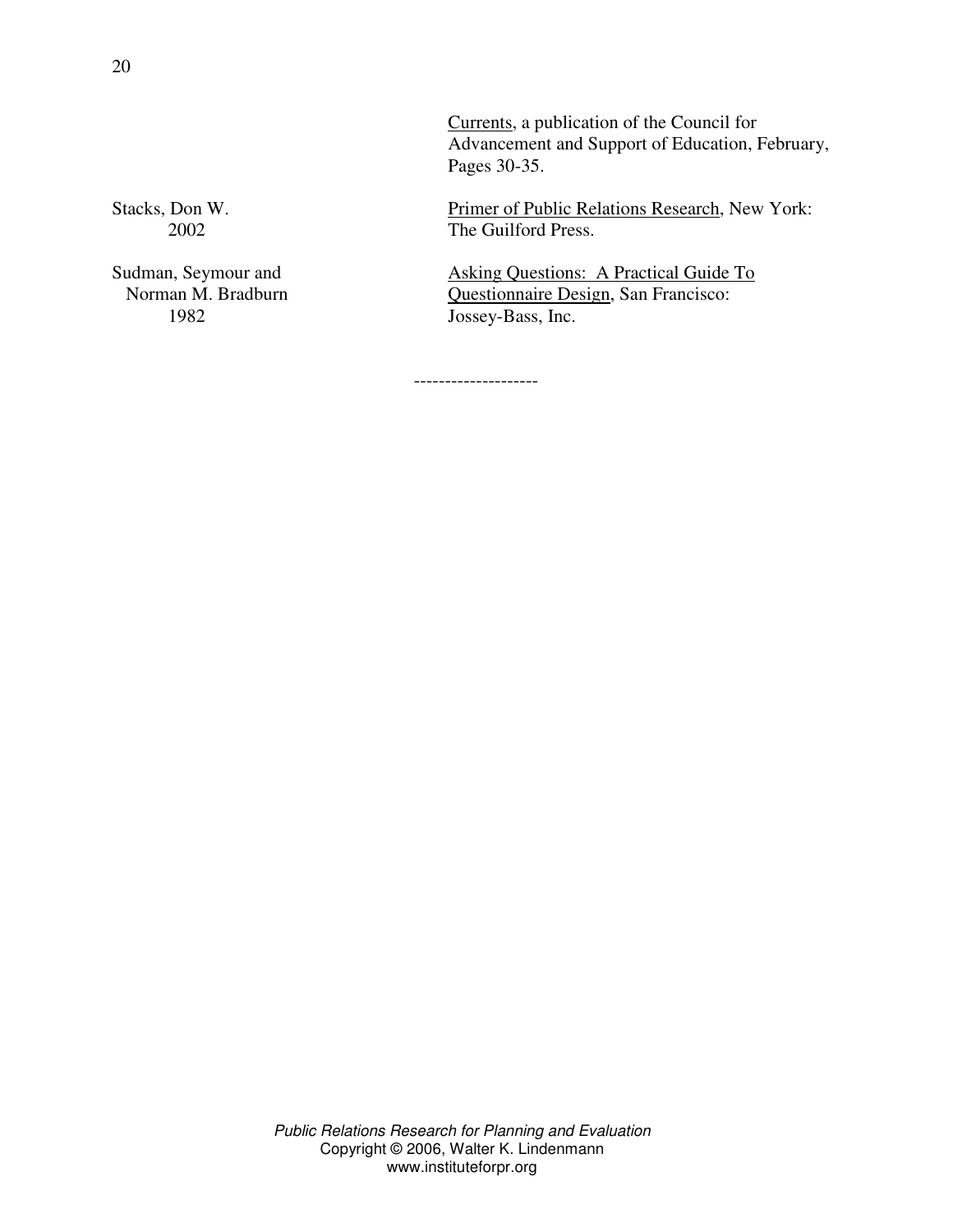Currents, a publication of the Council for Advancement and Support of Education, February, Pages 30-35.

Stacks, Don W. Primer of Public Relations Research, New York: 2002 The Guilford Press.

Sudman, Seymour and Asking Questions: A Practical Guide To Norman M. Bradburn Questionnaire Design, San Francisco: 1982 Jossey-Bass, Inc.

--------------------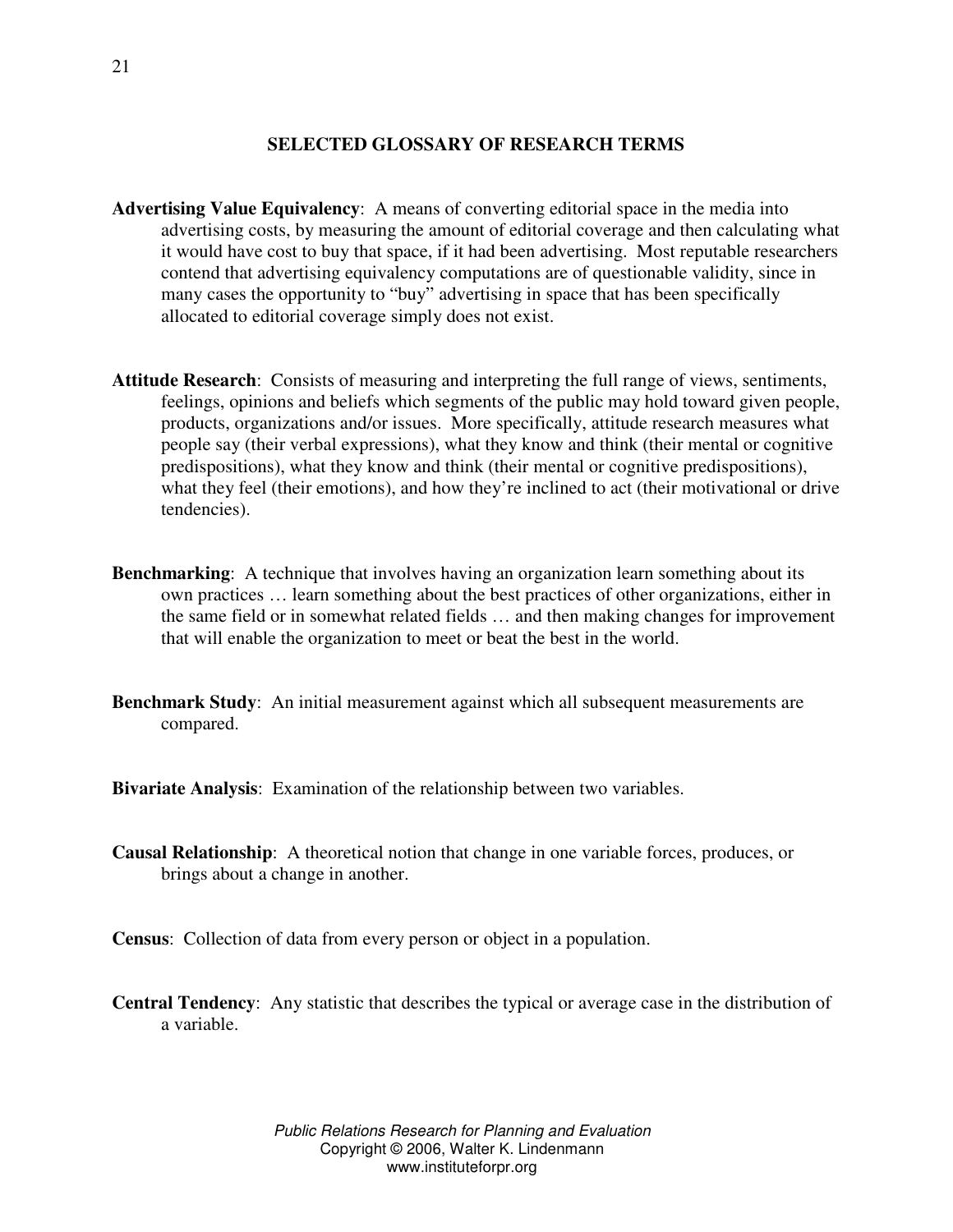# **SELECTED GLOSSARY OF RESEARCH TERMS**

- **Advertising Value Equivalency**: A means of converting editorial space in the media into advertising costs, by measuring the amount of editorial coverage and then calculating what it would have cost to buy that space, if it had been advertising. Most reputable researchers contend that advertising equivalency computations are of questionable validity, since in many cases the opportunity to "buy" advertising in space that has been specifically allocated to editorial coverage simply does not exist.
- **Attitude Research**: Consists of measuring and interpreting the full range of views, sentiments, feelings, opinions and beliefs which segments of the public may hold toward given people, products, organizations and/or issues. More specifically, attitude research measures what people say (their verbal expressions), what they know and think (their mental or cognitive predispositions), what they know and think (their mental or cognitive predispositions), what they feel (their emotions), and how they're inclined to act (their motivational or drive tendencies).
- **Benchmarking**: A technique that involves having an organization learn something about its own practices … learn something about the best practices of other organizations, either in the same field or in somewhat related fields … and then making changes for improvement that will enable the organization to meet or beat the best in the world.
- **Benchmark Study**: An initial measurement against which all subsequent measurements are compared.
- **Bivariate Analysis**: Examination of the relationship between two variables.
- **Causal Relationship**: A theoretical notion that change in one variable forces, produces, or brings about a change in another.
- **Census**: Collection of data from every person or object in a population.
- **Central Tendency**: Any statistic that describes the typical or average case in the distribution of a variable.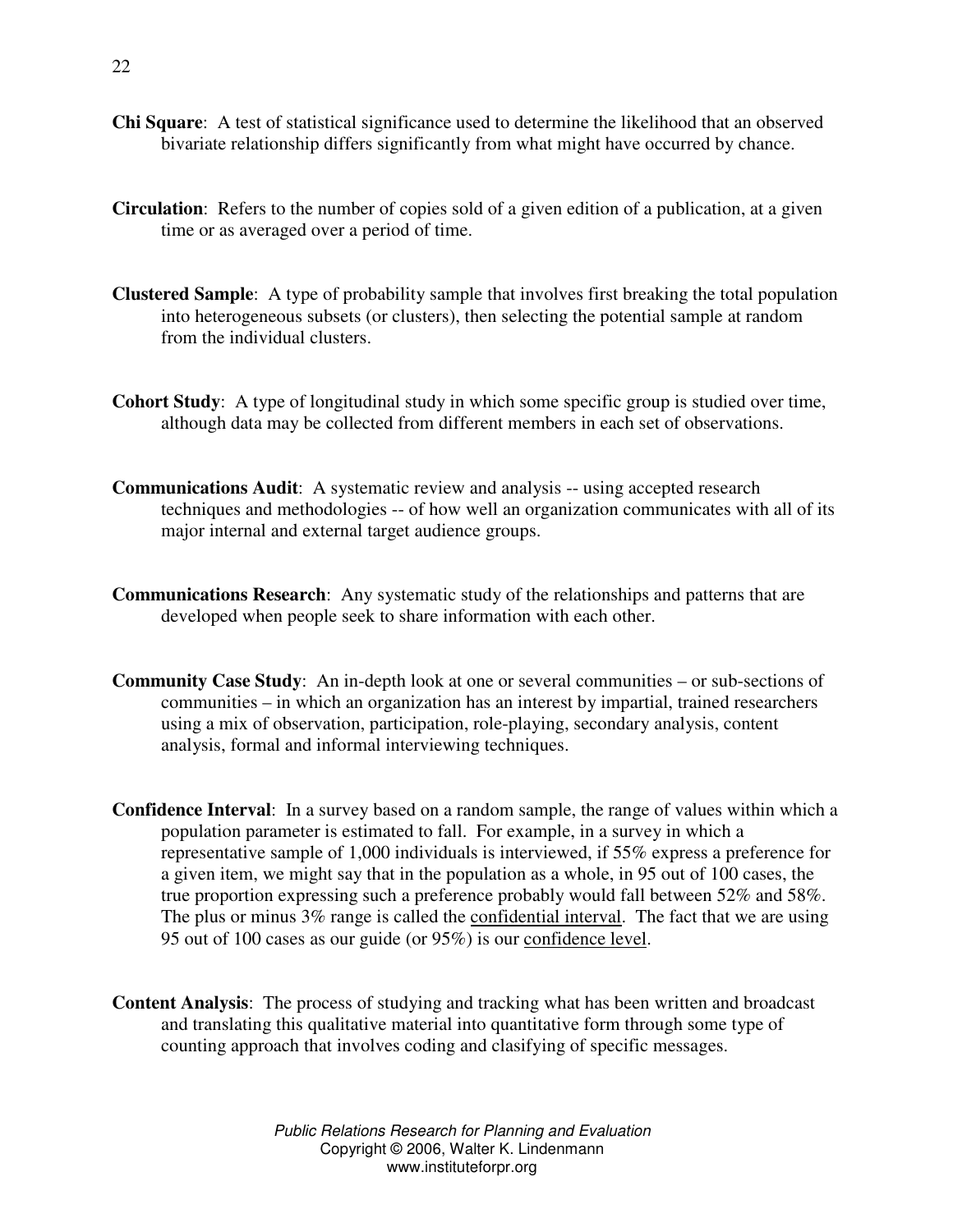- **Chi Square**: A test of statistical significance used to determine the likelihood that an observed bivariate relationship differs significantly from what might have occurred by chance.
- **Circulation**: Refers to the number of copies sold of a given edition of a publication, at a given time or as averaged over a period of time.
- **Clustered Sample**: A type of probability sample that involves first breaking the total population into heterogeneous subsets (or clusters), then selecting the potential sample at random from the individual clusters.
- **Cohort Study**: A type of longitudinal study in which some specific group is studied over time, although data may be collected from different members in each set of observations.
- **Communications Audit**: A systematic review and analysis -- using accepted research techniques and methodologies -- of how well an organization communicates with all of its major internal and external target audience groups.
- **Communications Research**: Any systematic study of the relationships and patterns that are developed when people seek to share information with each other.
- **Community Case Study**: An in-depth look at one or several communities or sub-sections of communities – in which an organization has an interest by impartial, trained researchers using a mix of observation, participation, role-playing, secondary analysis, content analysis, formal and informal interviewing techniques.
- **Confidence Interval**: In a survey based on a random sample, the range of values within which a population parameter is estimated to fall. For example, in a survey in which a representative sample of 1,000 individuals is interviewed, if 55% express a preference for a given item, we might say that in the population as a whole, in 95 out of 100 cases, the true proportion expressing such a preference probably would fall between 52% and 58%. The plus or minus 3% range is called the confidential interval. The fact that we are using 95 out of 100 cases as our guide (or 95%) is our confidence level.
- **Content Analysis**: The process of studying and tracking what has been written and broadcast and translating this qualitative material into quantitative form through some type of counting approach that involves coding and clasifying of specific messages.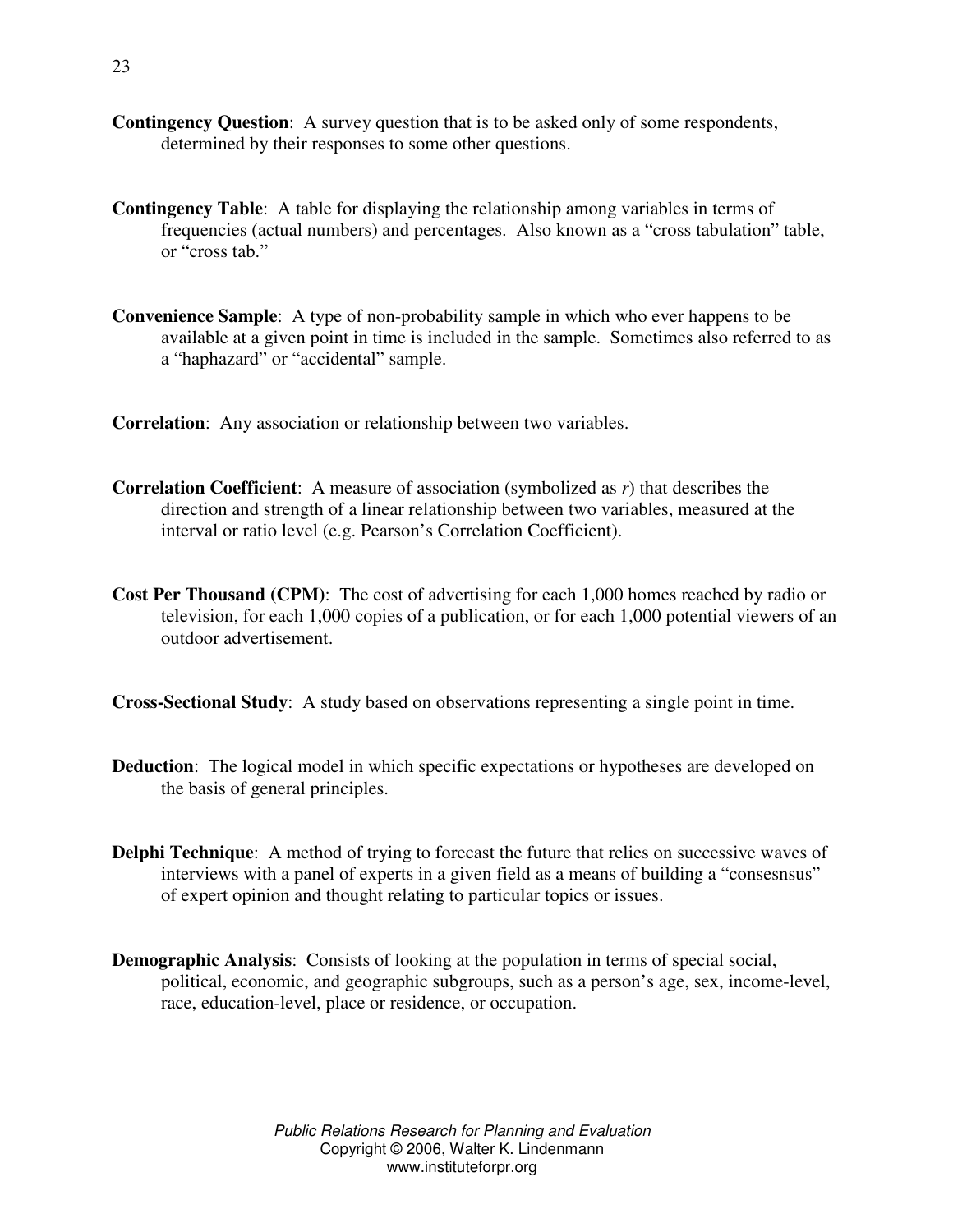- **Contingency Question**: A survey question that is to be asked only of some respondents, determined by their responses to some other questions.
- **Contingency Table**: A table for displaying the relationship among variables in terms of frequencies (actual numbers) and percentages. Also known as a "cross tabulation" table, or "cross tab."
- **Convenience Sample**: A type of non-probability sample in which who ever happens to be available at a given point in time is included in the sample. Sometimes also referred to as a "haphazard" or "accidental" sample.

**Correlation**: Any association or relationship between two variables.

- **Correlation Coefficient**: A measure of association (symbolized as *r*) that describes the direction and strength of a linear relationship between two variables, measured at the interval or ratio level (e.g. Pearson's Correlation Coefficient).
- **Cost Per Thousand (CPM)**: The cost of advertising for each 1,000 homes reached by radio or television, for each 1,000 copies of a publication, or for each 1,000 potential viewers of an outdoor advertisement.

**Cross-Sectional Study**: A study based on observations representing a single point in time.

- **Deduction**: The logical model in which specific expectations or hypotheses are developed on the basis of general principles.
- **Delphi Technique**: A method of trying to forecast the future that relies on successive waves of interviews with a panel of experts in a given field as a means of building a "consesnsus" of expert opinion and thought relating to particular topics or issues.
- **Demographic Analysis**: Consists of looking at the population in terms of special social, political, economic, and geographic subgroups, such as a person's age, sex, income-level, race, education-level, place or residence, or occupation.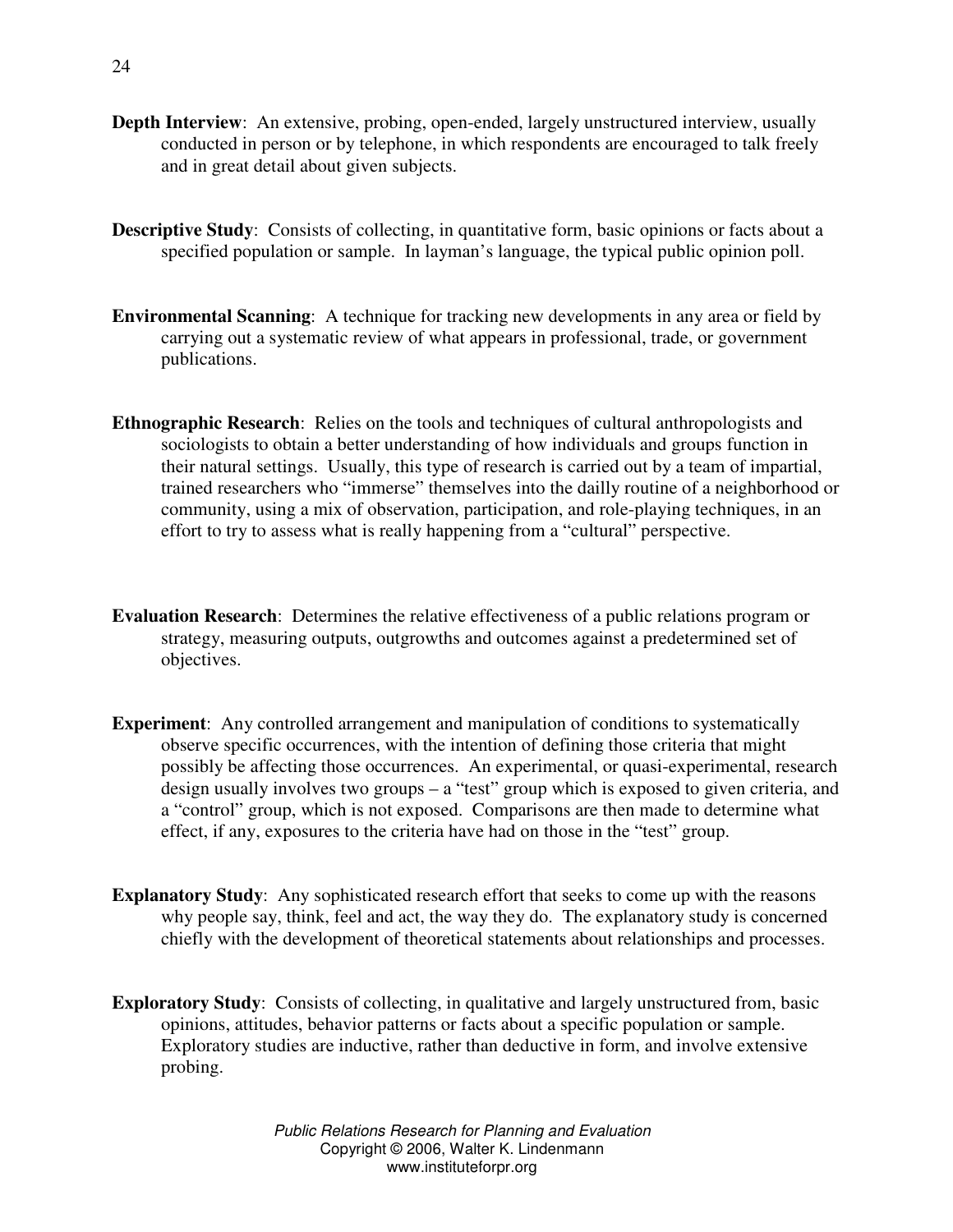- **Depth Interview**: An extensive, probing, open-ended, largely unstructured interview, usually conducted in person or by telephone, in which respondents are encouraged to talk freely and in great detail about given subjects.
- **Descriptive Study**: Consists of collecting, in quantitative form, basic opinions or facts about a specified population or sample. In layman's language, the typical public opinion poll.
- **Environmental Scanning**: A technique for tracking new developments in any area or field by carrying out a systematic review of what appears in professional, trade, or government publications.
- **Ethnographic Research**: Relies on the tools and techniques of cultural anthropologists and sociologists to obtain a better understanding of how individuals and groups function in their natural settings. Usually, this type of research is carried out by a team of impartial, trained researchers who "immerse" themselves into the dailly routine of a neighborhood or community, using a mix of observation, participation, and role-playing techniques, in an effort to try to assess what is really happening from a "cultural" perspective.
- **Evaluation Research**: Determines the relative effectiveness of a public relations program or strategy, measuring outputs, outgrowths and outcomes against a predetermined set of objectives.
- **Experiment**: Any controlled arrangement and manipulation of conditions to systematically observe specific occurrences, with the intention of defining those criteria that might possibly be affecting those occurrences. An experimental, or quasi-experimental, research design usually involves two groups – a "test" group which is exposed to given criteria, and a "control" group, which is not exposed. Comparisons are then made to determine what effect, if any, exposures to the criteria have had on those in the "test" group.
- **Explanatory Study**: Any sophisticated research effort that seeks to come up with the reasons why people say, think, feel and act, the way they do. The explanatory study is concerned chiefly with the development of theoretical statements about relationships and processes.
- **Exploratory Study**: Consists of collecting, in qualitative and largely unstructured from, basic opinions, attitudes, behavior patterns or facts about a specific population or sample. Exploratory studies are inductive, rather than deductive in form, and involve extensive probing.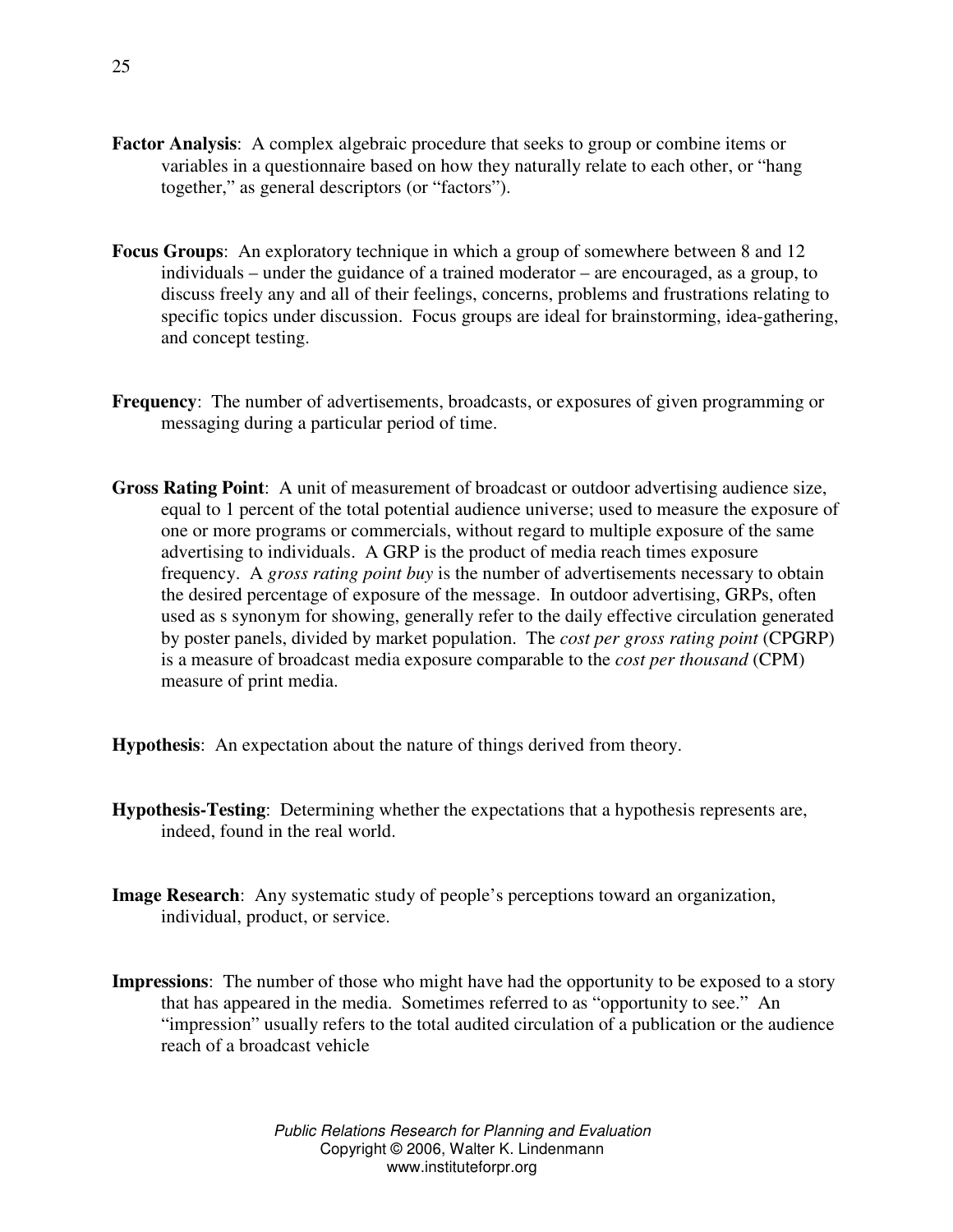- **Factor Analysis**: A complex algebraic procedure that seeks to group or combine items or variables in a questionnaire based on how they naturally relate to each other, or "hang together," as general descriptors (or "factors").
- **Focus Groups**: An exploratory technique in which a group of somewhere between 8 and 12 individuals – under the guidance of a trained moderator – are encouraged, as a group, to discuss freely any and all of their feelings, concerns, problems and frustrations relating to specific topics under discussion. Focus groups are ideal for brainstorming, idea-gathering, and concept testing.
- **Frequency**: The number of advertisements, broadcasts, or exposures of given programming or messaging during a particular period of time.
- **Gross Rating Point**: A unit of measurement of broadcast or outdoor advertising audience size, equal to 1 percent of the total potential audience universe; used to measure the exposure of one or more programs or commercials, without regard to multiple exposure of the same advertising to individuals. A GRP is the product of media reach times exposure frequency. A *gross rating point buy* is the number of advertisements necessary to obtain the desired percentage of exposure of the message. In outdoor advertising, GRPs, often used as s synonym for showing, generally refer to the daily effective circulation generated by poster panels, divided by market population. The *cost per gross rating point* (CPGRP) is a measure of broadcast media exposure comparable to the *cost per thousand* (CPM) measure of print media.
- **Hypothesis**: An expectation about the nature of things derived from theory.
- **Hypothesis-Testing**: Determining whether the expectations that a hypothesis represents are, indeed, found in the real world.
- **Image Research**: Any systematic study of people's perceptions toward an organization, individual, product, or service.
- **Impressions**: The number of those who might have had the opportunity to be exposed to a story that has appeared in the media. Sometimes referred to as "opportunity to see." An "impression" usually refers to the total audited circulation of a publication or the audience reach of a broadcast vehicle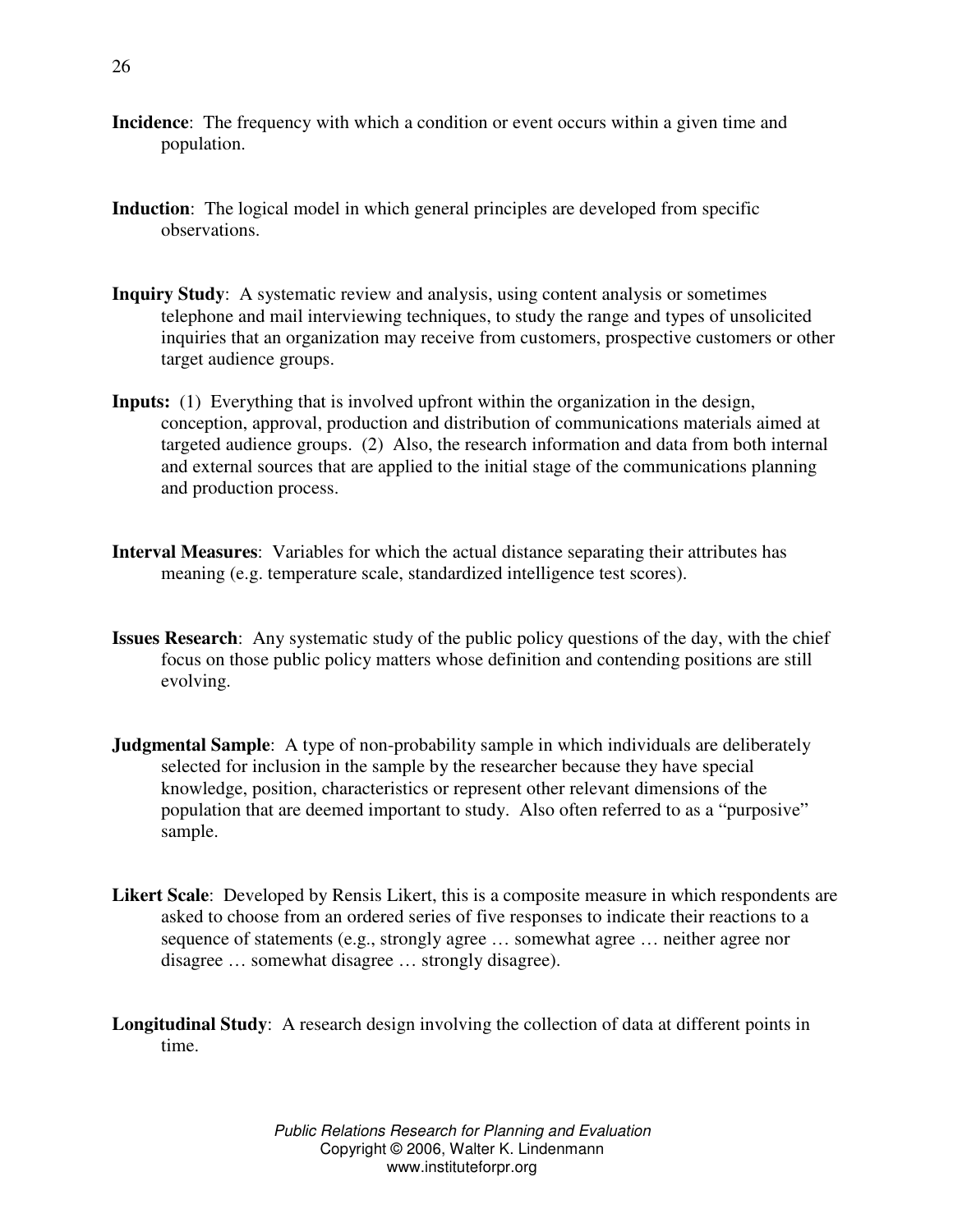- **Incidence**: The frequency with which a condition or event occurs within a given time and population.
- **Induction**: The logical model in which general principles are developed from specific observations.
- **Inquiry Study**: A systematic review and analysis, using content analysis or sometimes telephone and mail interviewing techniques, to study the range and types of unsolicited inquiries that an organization may receive from customers, prospective customers or other target audience groups.
- **Inputs:** (1) Everything that is involved upfront within the organization in the design, conception, approval, production and distribution of communications materials aimed at targeted audience groups. (2) Also, the research information and data from both internal and external sources that are applied to the initial stage of the communications planning and production process.
- **Interval Measures**: Variables for which the actual distance separating their attributes has meaning (e.g. temperature scale, standardized intelligence test scores).
- **Issues Research**: Any systematic study of the public policy questions of the day, with the chief focus on those public policy matters whose definition and contending positions are still evolving.
- **Judgmental Sample**: A type of non-probability sample in which individuals are deliberately selected for inclusion in the sample by the researcher because they have special knowledge, position, characteristics or represent other relevant dimensions of the population that are deemed important to study. Also often referred to as a "purposive" sample.
- **Likert Scale**: Developed by Rensis Likert, this is a composite measure in which respondents are asked to choose from an ordered series of five responses to indicate their reactions to a sequence of statements (e.g., strongly agree … somewhat agree … neither agree nor disagree … somewhat disagree … strongly disagree).

**Longitudinal Study**: A research design involving the collection of data at different points in time.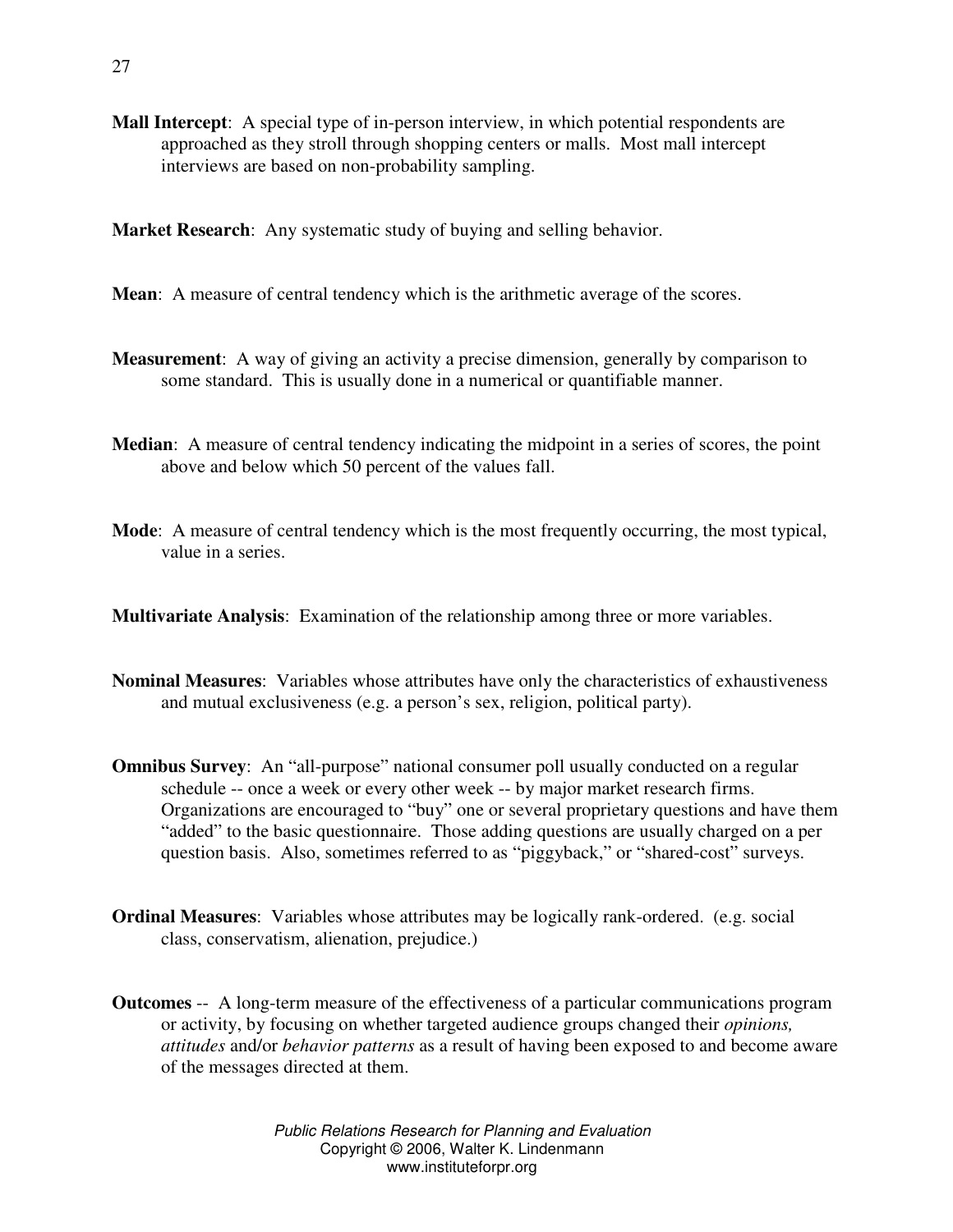**Mall Intercept**: A special type of in-person interview, in which potential respondents are approached as they stroll through shopping centers or malls. Most mall intercept interviews are based on non-probability sampling.

**Market Research**: Any systematic study of buying and selling behavior.

**Mean**: A measure of central tendency which is the arithmetic average of the scores.

- **Measurement**: A way of giving an activity a precise dimension, generally by comparison to some standard. This is usually done in a numerical or quantifiable manner.
- **Median**: A measure of central tendency indicating the midpoint in a series of scores, the point above and below which 50 percent of the values fall.
- **Mode**: A measure of central tendency which is the most frequently occurring, the most typical, value in a series.

**Multivariate Analysis**: Examination of the relationship among three or more variables.

- **Nominal Measures**: Variables whose attributes have only the characteristics of exhaustiveness and mutual exclusiveness (e.g. a person's sex, religion, political party).
- **Omnibus Survey**: An "all-purpose" national consumer poll usually conducted on a regular schedule -- once a week or every other week -- by major market research firms. Organizations are encouraged to "buy" one or several proprietary questions and have them "added" to the basic questionnaire. Those adding questions are usually charged on a per question basis. Also, sometimes referred to as "piggyback," or "shared-cost" surveys.
- **Ordinal Measures**: Variables whose attributes may be logically rank-ordered. (e.g. social class, conservatism, alienation, prejudice.)
- **Outcomes** -- A long-term measure of the effectiveness of a particular communications program or activity, by focusing on whether targeted audience groups changed their *opinions, attitudes* and/or *behavior patterns* as a result of having been exposed to and become aware of the messages directed at them.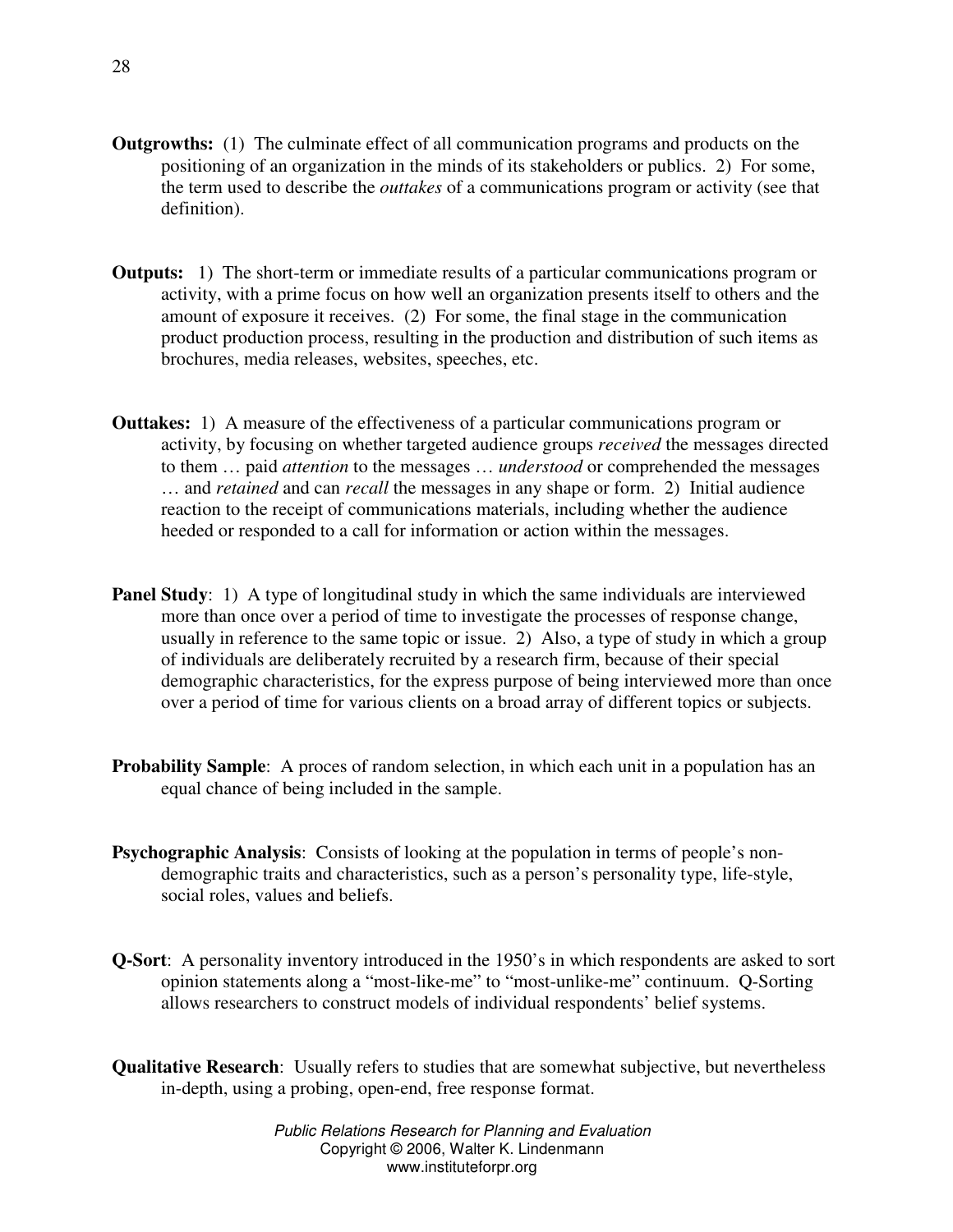- **Outgrowths:** (1) The culminate effect of all communication programs and products on the positioning of an organization in the minds of its stakeholders or publics. 2) For some, the term used to describe the *outtakes* of a communications program or activity (see that definition).
- **Outputs:** 1) The short-term or immediate results of a particular communications program or activity, with a prime focus on how well an organization presents itself to others and the amount of exposure it receives. (2) For some, the final stage in the communication product production process, resulting in the production and distribution of such items as brochures, media releases, websites, speeches, etc.
- **Outtakes:** 1) A measure of the effectiveness of a particular communications program or activity, by focusing on whether targeted audience groups *received* the messages directed to them … paid *attention* to the messages … *understood* or comprehended the messages … and *retained* and can *recall* the messages in any shape or form. 2) Initial audience reaction to the receipt of communications materials, including whether the audience heeded or responded to a call for information or action within the messages.
- **Panel Study**: 1) A type of longitudinal study in which the same individuals are interviewed more than once over a period of time to investigate the processes of response change, usually in reference to the same topic or issue. 2) Also, a type of study in which a group of individuals are deliberately recruited by a research firm, because of their special demographic characteristics, for the express purpose of being interviewed more than once over a period of time for various clients on a broad array of different topics or subjects.
- **Probability Sample:** A proces of random selection, in which each unit in a population has an equal chance of being included in the sample.
- **Psychographic Analysis:** Consists of looking at the population in terms of people's nondemographic traits and characteristics, such as a person's personality type, life-style, social roles, values and beliefs.
- **Q-Sort**: A personality inventory introduced in the 1950's in which respondents are asked to sort opinion statements along a "most-like-me" to "most-unlike-me" continuum. Q-Sorting allows researchers to construct models of individual respondents' belief systems.
- **Qualitative Research**: Usually refers to studies that are somewhat subjective, but nevertheless in-depth, using a probing, open-end, free response format.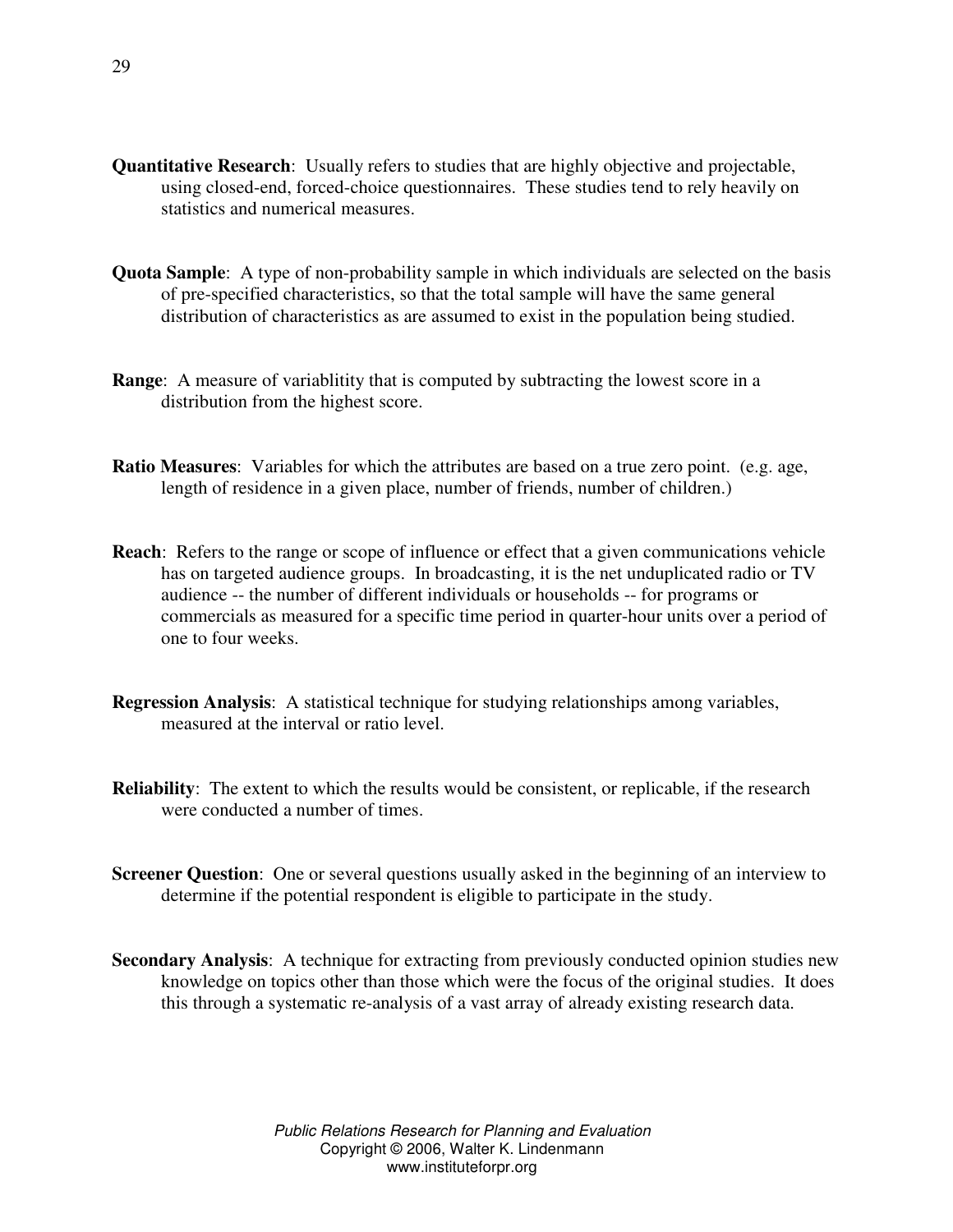- **Quantitative Research**: Usually refers to studies that are highly objective and projectable, using closed-end, forced-choice questionnaires. These studies tend to rely heavily on statistics and numerical measures.
- **Quota Sample**: A type of non-probability sample in which individuals are selected on the basis of pre-specified characteristics, so that the total sample will have the same general distribution of characteristics as are assumed to exist in the population being studied.
- **Range:** A measure of variablitity that is computed by subtracting the lowest score in a distribution from the highest score.
- **Ratio Measures**: Variables for which the attributes are based on a true zero point. (e.g. age, length of residence in a given place, number of friends, number of children.)
- **Reach**: Refers to the range or scope of influence or effect that a given communications vehicle has on targeted audience groups. In broadcasting, it is the net unduplicated radio or TV audience -- the number of different individuals or households -- for programs or commercials as measured for a specific time period in quarter-hour units over a period of one to four weeks.
- **Regression Analysis**: A statistical technique for studying relationships among variables, measured at the interval or ratio level.
- **Reliability**: The extent to which the results would be consistent, or replicable, if the research were conducted a number of times.
- **Screener Question**: One or several questions usually asked in the beginning of an interview to determine if the potential respondent is eligible to participate in the study.
- **Secondary Analysis**: A technique for extracting from previously conducted opinion studies new knowledge on topics other than those which were the focus of the original studies. It does this through a systematic re-analysis of a vast array of already existing research data.

29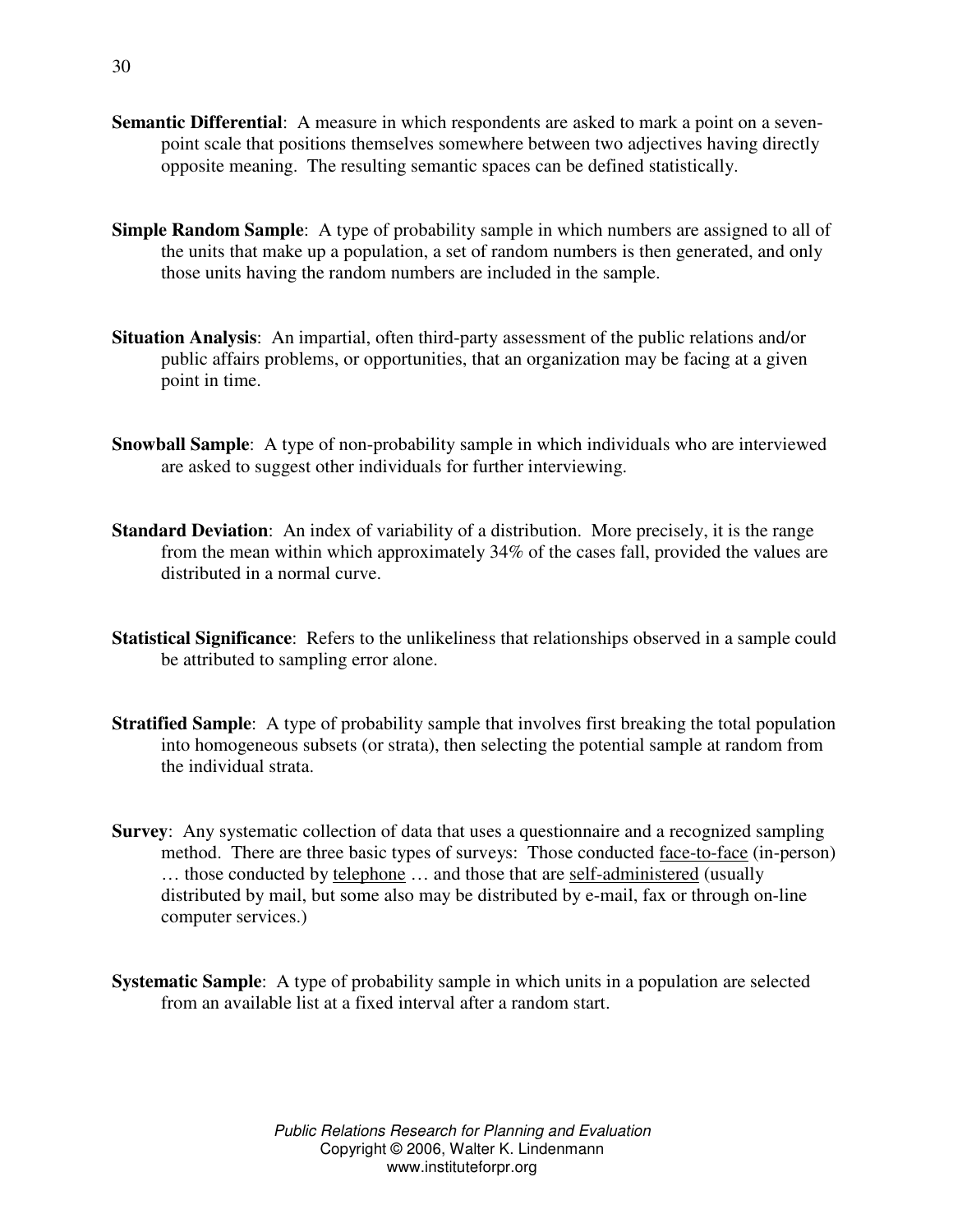- **Semantic Differential**: A measure in which respondents are asked to mark a point on a sevenpoint scale that positions themselves somewhere between two adjectives having directly opposite meaning. The resulting semantic spaces can be defined statistically.
- **Simple Random Sample**: A type of probability sample in which numbers are assigned to all of the units that make up a population, a set of random numbers is then generated, and only those units having the random numbers are included in the sample.
- **Situation Analysis**: An impartial, often third-party assessment of the public relations and/or public affairs problems, or opportunities, that an organization may be facing at a given point in time.
- **Snowball Sample**: A type of non-probability sample in which individuals who are interviewed are asked to suggest other individuals for further interviewing.
- **Standard Deviation**: An index of variability of a distribution. More precisely, it is the range from the mean within which approximately 34% of the cases fall, provided the values are distributed in a normal curve.
- **Statistical Significance**: Refers to the unlikeliness that relationships observed in a sample could be attributed to sampling error alone.
- **Stratified Sample**: A type of probability sample that involves first breaking the total population into homogeneous subsets (or strata), then selecting the potential sample at random from the individual strata.
- **Survey**: Any systematic collection of data that uses a questionnaire and a recognized sampling method. There are three basic types of surveys: Those conducted face-to-face (in-person) … those conducted by telephone … and those that are self-administered (usually distributed by mail, but some also may be distributed by e-mail, fax or through on-line computer services.)
- **Systematic Sample:** A type of probability sample in which units in a population are selected from an available list at a fixed interval after a random start.

30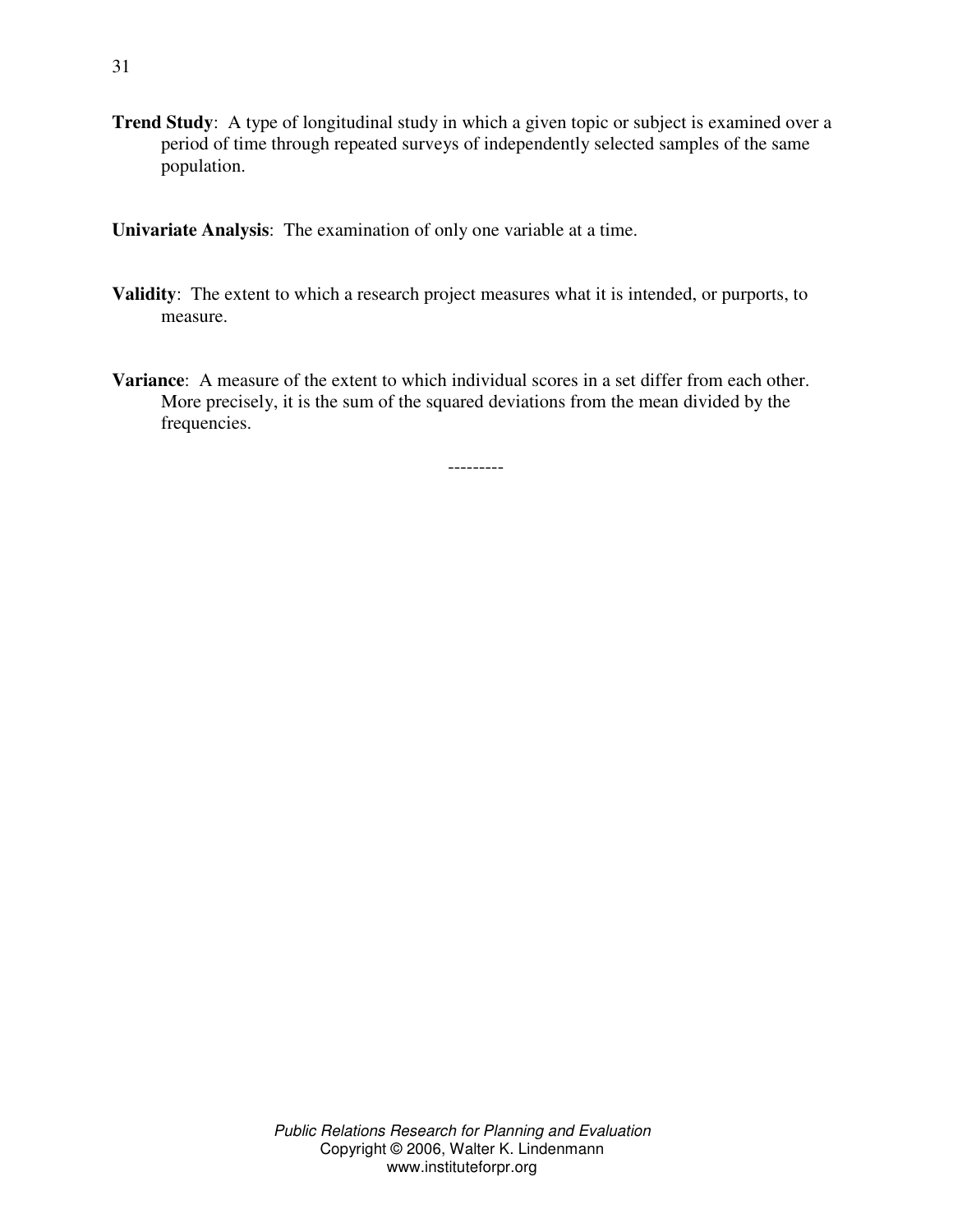**Trend Study**: A type of longitudinal study in which a given topic or subject is examined over a period of time through repeated surveys of independently selected samples of the same population.

**Univariate Analysis**: The examination of only one variable at a time.

- **Validity**: The extent to which a research project measures what it is intended, or purports, to measure.
- **Variance**: A measure of the extent to which individual scores in a set differ from each other. More precisely, it is the sum of the squared deviations from the mean divided by the frequencies.

---------